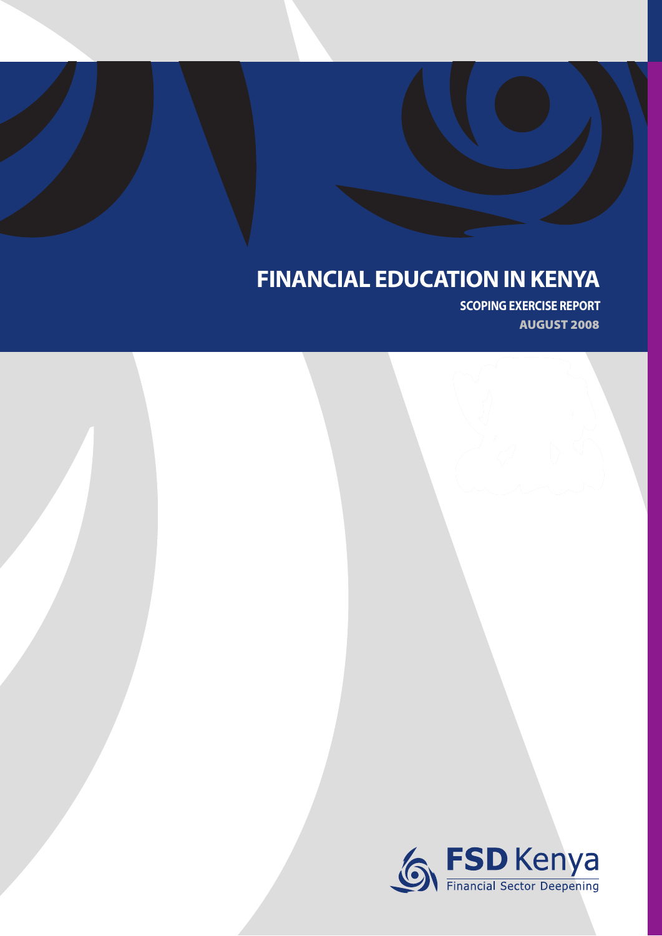## **FINANCIAL EDUCATION IN KENYA**

**SCOPING EXERCISE REPORT AUGUST 2008**

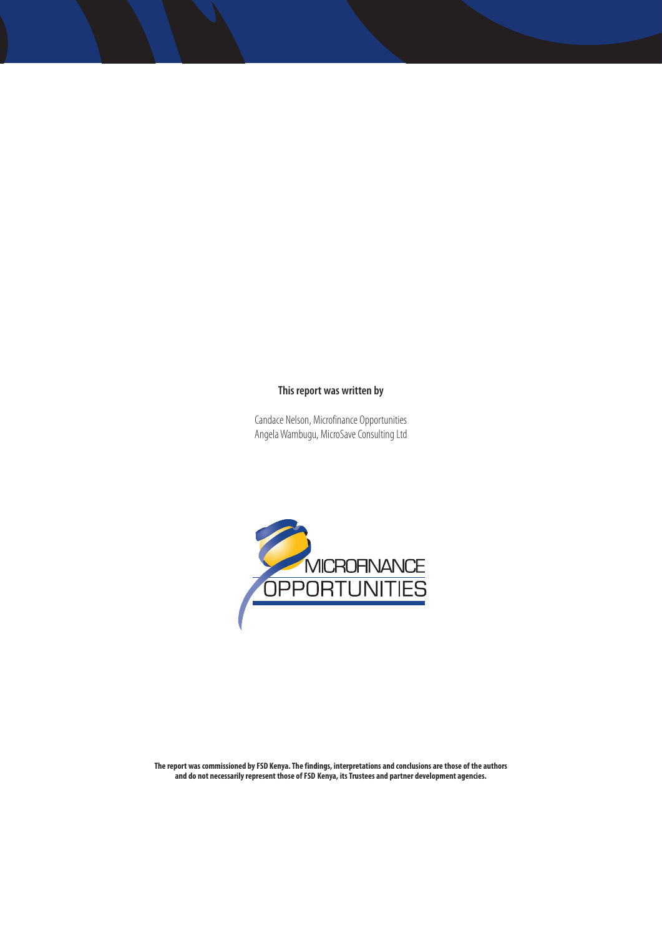#### **This report was written by**

Candace Nelson, Microfinance Opportunities Angela Wambugu, MicroSave Consulting Ltd



**The report was commissioned by FSD Kenya. The findings, interpretations and conclusions are those of the authors and do not necessarily represent those of FSD Kenya, its Trustees and partner development agencies.**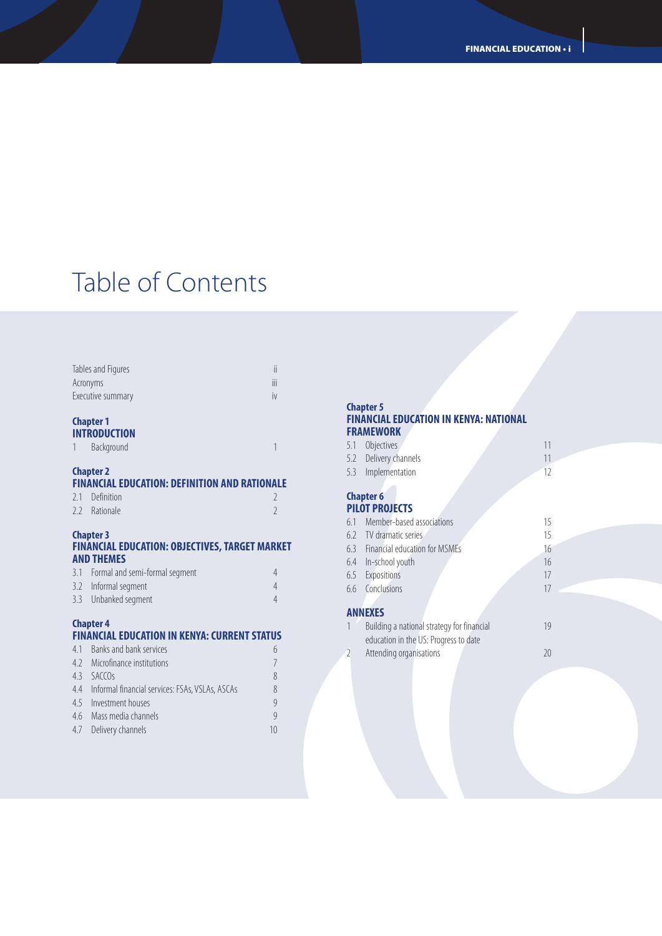## Table of Contents

| <b>Chapter 1</b><br><b>INTRANILATIAN</b> |  |
|------------------------------------------|--|
| Executive summary<br>IV                  |  |
| Ϊij<br>Acronyms                          |  |
| Tables and Figures<br>ii                 |  |
|                                          |  |

#### **INTRODUCTION**

| <b>Background</b> |  |
|-------------------|--|

#### **Chapter 2**

#### **FINANCIAL EDUCATION: DEFINITION AND RATIONALE**

| 2.1 Definition |  |
|----------------|--|
| 2.2 Rationale  |  |

### **Chapter 3**

#### **FINANCIAL EDUCATION: OBJECTIVES, TARGET MARKET AND THEMES**

| 3.1 Formal and semi-formal segment |  |
|------------------------------------|--|
| 3.2 Informal segment               |  |
| 3.3 Unbanked segment               |  |

### **Chapter 4**

#### **FINANCIAL EDUCATION IN KENYA: CURRENT STATUS** 4.1 Banks and bank services 6

| <b>T.I</b> DUITING UNITED SCIVICES                  |    |
|-----------------------------------------------------|----|
| 4.2 Microfinance institutions                       |    |
| $4.3$ SACCOs                                        | 8  |
| 4.4 Informal financial services: FSAs, VSLAs, ASCAs | 8  |
| 4.5 Investment houses                               | 9  |
| 4.6 Mass media channels                             | 9  |
| 4.7 Delivery channels                               | 10 |
|                                                     |    |

### **Chapter 5**

#### **FINANCIAL EDUCATION IN KENYA: NATIONAL FRAMEWORK**

| 5.1 Objectives        |  |
|-----------------------|--|
| 5.2 Delivery channels |  |
| 5.3 Implementation    |  |

#### **Chapter 6 PILOT PROJECTS**

|           | 6.1 Member-based associations              | 15 |
|-----------|--------------------------------------------|----|
|           | 6.2 TV dramatic series                     | 15 |
|           | 6.3 Financial education for MSMEs          | 16 |
|           | 6.4 In-school youth                        | 16 |
|           | 6.5 Expositions                            | 17 |
|           | 6.6 Conclusions                            | 17 |
|           |                                            |    |
|           | <b>ANNEXES</b>                             |    |
| $1 \quad$ | Building a national strategy for financial |    |

|                          | Building a national strategy for financial | 19 |
|--------------------------|--------------------------------------------|----|
|                          | education in the US: Progress to date      |    |
| $\overline{\phantom{a}}$ | Attending organisations                    | 20 |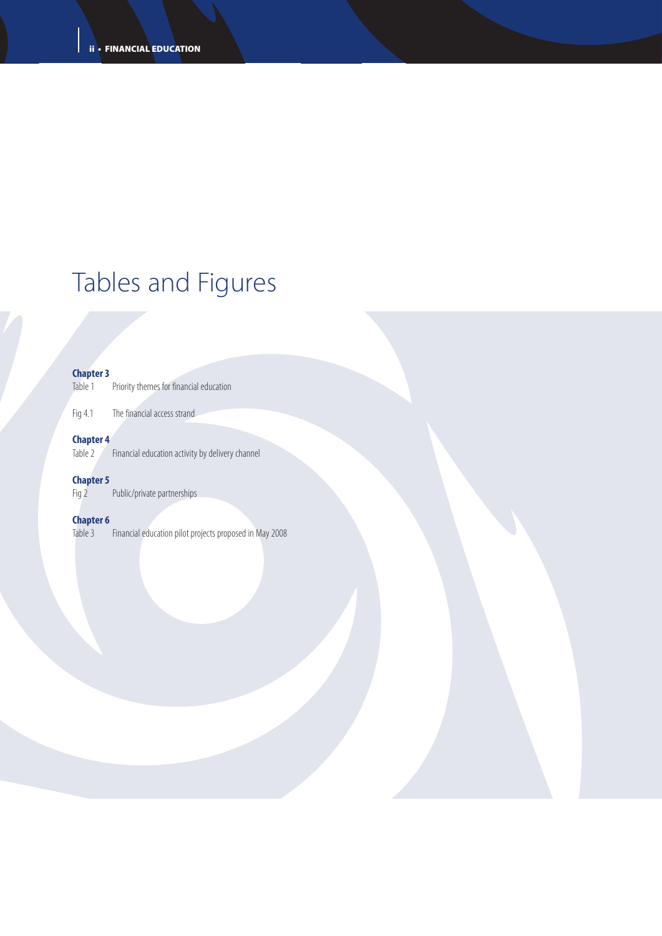# Tables and Figures

## **Chapter 3**<br>Table 1

Priority themes for financial education

Fig 4.1 The financial access strand

## **Chapter 4**<br>Table 2

Financial education activity by delivery channel

## **Chapter 5**

Public/private partnerships

**Chapter 6**<br>Table 3 Financial education pilot projects proposed in May 2008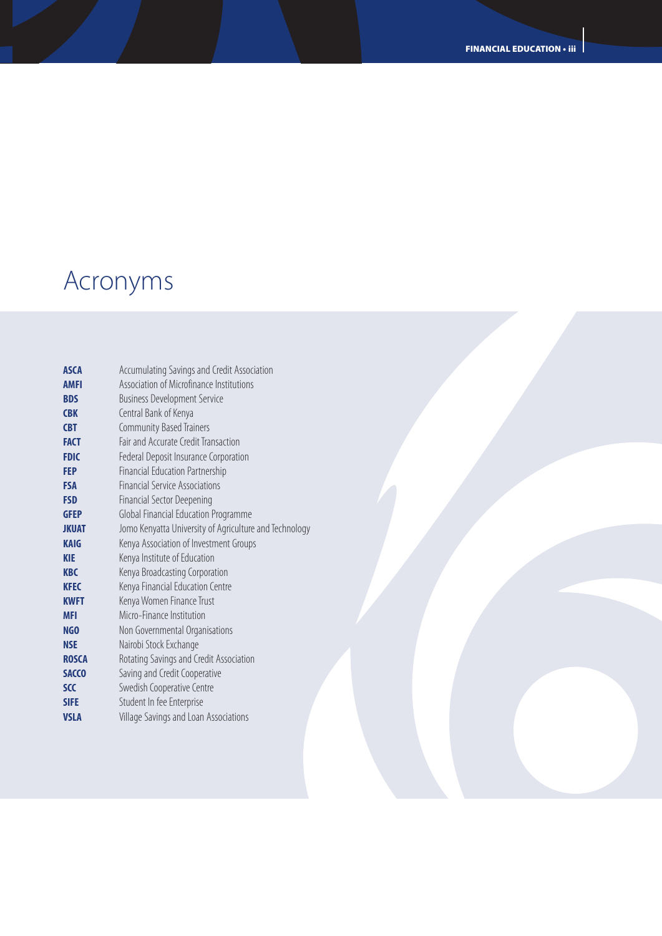# Acronyms

| <b>ASCA</b>  | Accumulating Savings and Credit Association            |
|--------------|--------------------------------------------------------|
| <b>AMFI</b>  | Association of Microfinance Institutions               |
| <b>BDS</b>   | <b>Business Development Service</b>                    |
| <b>CBK</b>   | Central Bank of Kenya                                  |
| <b>CBT</b>   | <b>Community Based Trainers</b>                        |
| <b>FACT</b>  | Fair and Accurate Credit Transaction                   |
| <b>FDIC</b>  | Federal Deposit Insurance Corporation                  |
| FEP          | Financial Education Partnership                        |
| <b>FSA</b>   | <b>Financial Service Associations</b>                  |
| <b>FSD</b>   | Financial Sector Deepening                             |
| <b>GFEP</b>  | Global Financial Education Programme                   |
| <b>JKUAT</b> | Jomo Kenyatta University of Agriculture and Technology |
| <b>KAIG</b>  | Kenya Association of Investment Groups                 |
| <b>KIE</b>   | Kenya Institute of Education                           |
| <b>KBC</b>   | Kenya Broadcasting Corporation                         |
| <b>KFEC</b>  | Kenya Financial Education Centre                       |
| <b>KWFT</b>  | Kenya Women Finance Trust                              |
| <b>MFI</b>   | Micro-Finance Institution                              |
| NGO          | Non Governmental Organisations                         |
| <b>NSE</b>   | Nairobi Stock Exchange                                 |
| <b>ROSCA</b> | Rotating Savings and Credit Association                |
| <b>SACCO</b> | Saving and Credit Cooperative                          |
| <b>SCC</b>   | Swedish Cooperative Centre                             |
| <b>SIFE</b>  | Student In fee Enterprise                              |
| <b>VSLA</b>  | Village Savings and Loan Associations                  |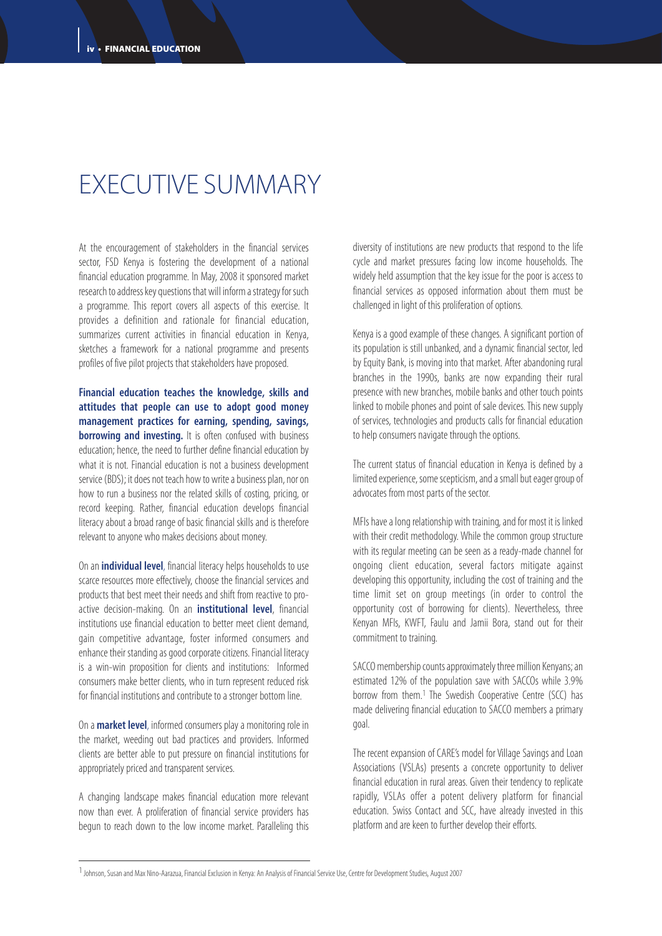## EXECUTIVE SUMMARY

At the encouragement of stakeholders in the financial services sector, FSD Kenya is fostering the development of a national financial education programme. In May, 2008 it sponsored market research to address key questions that will inform a strategy for such a programme. This report covers all aspects of this exercise. It provides a definition and rationale for financial education, summarizes current activities in financial education in Kenya, sketches a framework for a national programme and presents profiles of five pilot projects that stakeholders have proposed.

**Financial education teaches the knowledge, skills and attitudes that people can use to adopt good money management practices for earning, spending, savings, borrowing and investing.** It is often confused with business education; hence, the need to further define financial education by what it is not. Financial education is not a business development service (BDS); it does not teach how to write a business plan, nor on how to run a business nor the related skills of costing, pricing, or record keeping. Rather, financial education develops financial literacy about a broad range of basic financial skills and is therefore relevant to anyone who makes decisions about money.

On an**individual level**, financial literacy helps households to use scarce resources more effectively, choose the financial services and products that best meet their needs and shift from reactive to proactive decision-making. On an **institutional level**, financial institutions use financial education to better meet client demand, gain competitive advantage, foster informed consumers and enhance their standing as good corporate citizens. Financial literacy is a win-win proposition for clients and institutions: Informed consumers make better clients, who in turn represent reduced risk for financial institutions and contribute to a stronger bottom line.

On a **market level**, informed consumers play a monitoring role in the market, weeding out bad practices and providers. Informed clients are better able to put pressure on financial institutions for appropriately priced and transparent services.

A changing landscape makes financial education more relevant now than ever. A proliferation of financial service providers has begun to reach down to the low income market. Paralleling this diversity of institutions are new products that respond to the life cycle and market pressures facing low income households. The widely held assumption that the key issue for the poor is access to financial services as opposed information about them must be challenged in light of this proliferation of options.

Kenya is a good example of these changes. A significant portion of its population is still unbanked, and a dynamic financial sector, led by Equity Bank, is moving into that market. After abandoning rural branches in the 1990s, banks are now expanding their rural presence with new branches, mobile banks and other touch points linked to mobile phones and point of sale devices. This new supply of services, technologies and products calls for financial education to help consumers navigate through the options.

The current status of financial education in Kenya is defined by a limited experience, some scepticism, and a small but eager group of advocates from most parts of the sector.

MFIs have a long relationship with training, and for most it is linked with their credit methodology. While the common group structure with its regular meeting can be seen as a ready-made channel for ongoing client education, several factors mitigate against developing this opportunity, including the cost of training and the time limit set on group meetings (in order to control the opportunity cost of borrowing for clients). Nevertheless, three Kenyan MFIs, KWFT, Faulu and Jamii Bora, stand out for their commitment to training.

SACCO membership counts approximately three million Kenyans; an estimated 12% of the population save with SACCOs while 3.9% borrow from them.1 The Swedish Cooperative Centre (SCC) has made delivering financial education to SACCO members a primary goal.

The recent expansion of CARE's model for Village Savings and Loan Associations (VSLAs) presents a concrete opportunity to deliver financial education in rural areas. Given their tendency to replicate rapidly, VSLAs offer a potent delivery platform for financial education. Swiss Contact and SCC, have already invested in this platform and are keen to further develop their efforts.

<sup>1</sup>Johnson, Susan and Max Nino-Aarazua, Financial Exclusion in Kenya: An Analysis of Financial Service Use, Centre for Development Studies, August 2007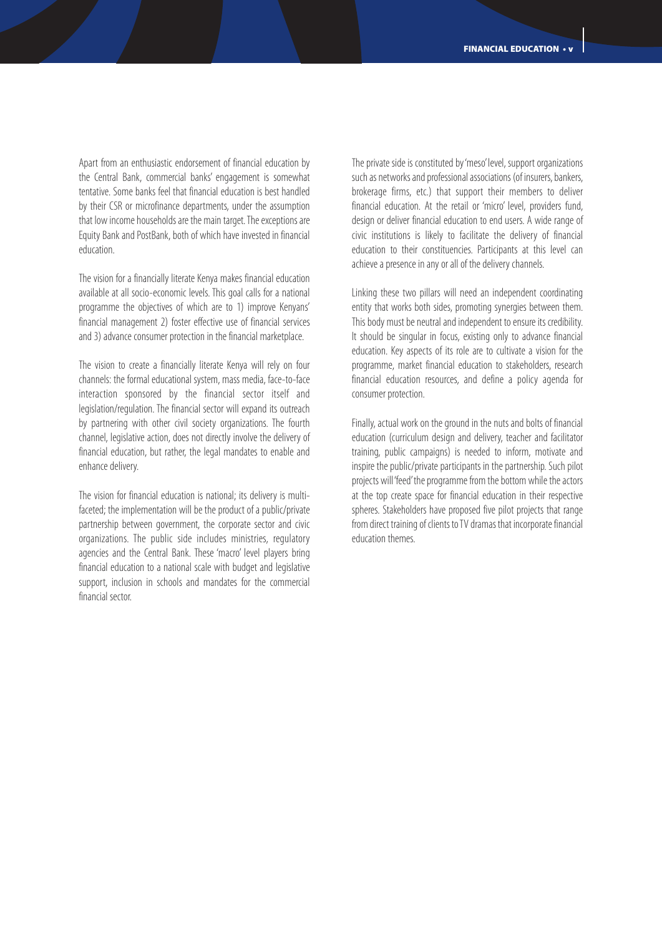Apart from an enthusiastic endorsement of financial education by the Central Bank, commercial banks' engagement is somewhat tentative. Some banks feel that financial education is best handled by their CSR or microfinance departments, under the assumption that low income households are the main target. The exceptions are Equity Bank and PostBank, both of which have invested in financial education.

The vision for a financially literate Kenya makes financial education available at all socio-economic levels. This goal calls for a national programme the objectives of which are to 1) improve Kenyans' financial management 2) foster effective use of financial services and 3) advance consumer protection in the financial marketplace.

The vision to create a financially literate Kenya will rely on four channels: the formal educational system, mass media, face-to-face interaction sponsored by the financial sector itself and legislation/regulation. The financial sector will expand its outreach by partnering with other civil society organizations. The fourth channel, legislative action, does not directly involve the delivery of financial education, but rather, the legal mandates to enable and enhance delivery.

The vision for financial education is national; its delivery is multifaceted; the implementation will be the product of a public/private partnership between government, the corporate sector and civic organizations. The public side includes ministries, regulatory agencies and the Central Bank. These 'macro' level players bring financial education to a national scale with budget and legislative support, inclusion in schools and mandates for the commercial financial sector.

The private side is constituted by 'meso' level, support organizations such as networks and professional associations (of insurers, bankers, brokerage firms, etc.) that support their members to deliver financial education. At the retail or 'micro' level, providers fund, design or deliver financial education to end users. A wide range of civic institutions is likely to facilitate the delivery of financial education to their constituencies. Participants at this level can achieve a presence in any or all of the delivery channels.

Linking these two pillars will need an independent coordinating entity that works both sides, promoting synergies between them. This body must be neutral and independent to ensure its credibility. It should be singular in focus, existing only to advance financial education. Key aspects of its role are to cultivate a vision for the programme, market financial education to stakeholders, research financial education resources, and define a policy agenda for consumer protection.

Finally, actual work on the ground in the nuts and bolts of financial education (curriculum design and delivery, teacher and facilitator training, public campaigns) is needed to inform, motivate and inspire the public/private participants in the partnership. Such pilot projects will'feed'the programme from the bottom while the actors at the top create space for financial education in their respective spheres. Stakeholders have proposed five pilot projects that range from direct training of clients to TV dramas that incorporate financial education themes.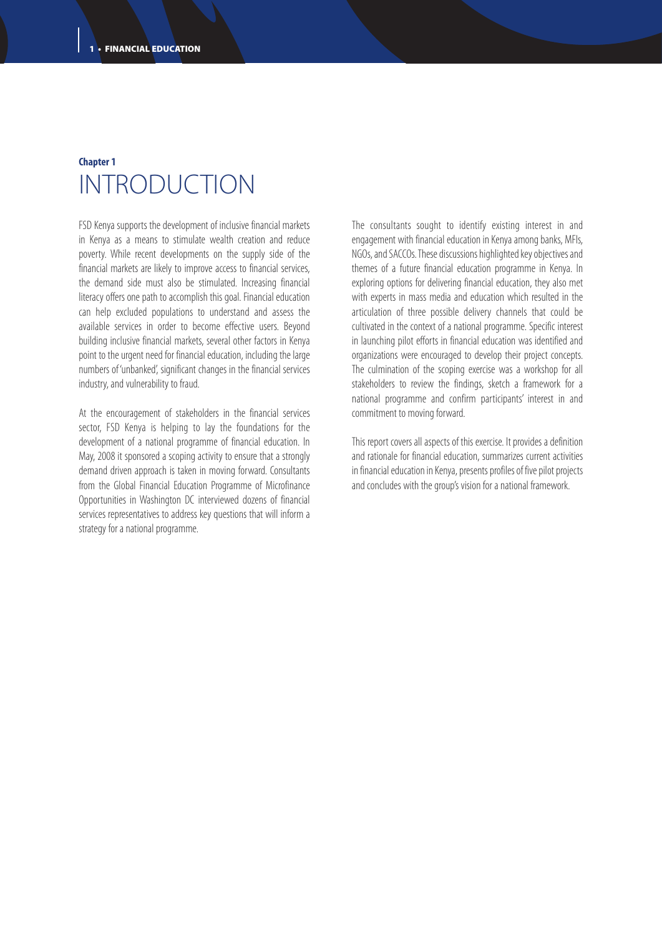### **Chapter 1** INTRODUCTION

FSD Kenya supports the development of inclusive financial markets in Kenya as a means to stimulate wealth creation and reduce poverty. While recent developments on the supply side of the financial markets are likely to improve access to financial services, the demand side must also be stimulated. Increasing financial literacy offers one path to accomplish this goal. Financial education can help excluded populations to understand and assess the available services in order to become effective users. Beyond building inclusive financial markets, several other factors in Kenya point to the urgent need for financial education, including the large numbers of 'unbanked', significant changes in the financial services industry, and vulnerability to fraud.

At the encouragement of stakeholders in the financial services sector, FSD Kenya is helping to lay the foundations for the development of a national programme of financial education. In May, 2008 it sponsored a scoping activity to ensure that a strongly demand driven approach is taken in moving forward. Consultants from the Global Financial Education Programme of Microfinance Opportunities in Washington DC interviewed dozens of financial services representatives to address key questions that will inform a strategy for a national programme.

The consultants sought to identify existing interest in and engagement with financial education in Kenya among banks, MFIs, NGOs, and SACCOs. These discussions highlighted key objectives and themes of a future financial education programme in Kenya. In exploring options for delivering financial education, they also met with experts in mass media and education which resulted in the articulation of three possible delivery channels that could be cultivated in the context of a national programme. Specific interest in launching pilot efforts in financial education was identified and organizations were encouraged to develop their project concepts. The culmination of the scoping exercise was a workshop for all stakeholders to review the findings, sketch a framework for a national programme and confirm participants' interest in and commitment to moving forward.

This report covers all aspects of this exercise. It provides a definition and rationale for financial education, summarizes current activities in financial education in Kenya, presents profiles of five pilot projects and concludes with the group's vision for a national framework.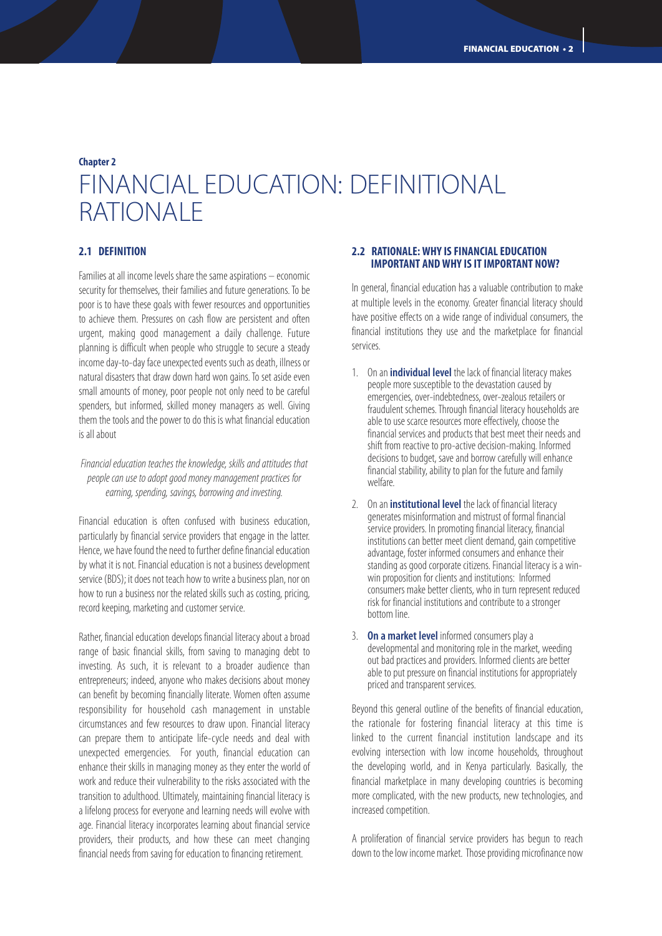## **Chapter 2** FINANCIAL EDUCATION: DEFINITIONAL RATIONALE

#### **2.1 DEFINITION**

Families at all income levels share the same aspirations – economic security for themselves, their families and future generations. To be poor is to have these goals with fewer resources and opportunities to achieve them. Pressures on cash flow are persistent and often urgent, making good management a daily challenge. Future planning is difficult when people who struggle to secure a steady income day-to-day face unexpected events such as death, illness or natural disasters that draw down hard won gains. To set aside even small amounts of money, poor people not only need to be careful spenders, but informed, skilled money managers as well. Giving them the tools and the power to do this is what financial education is all about

*Financial education teaches the knowledge, skills and attitudes that people can use to adopt good money management practices for earning, spending, savings, borrowing and investing.*

Financial education is often confused with business education, particularly by financial service providers that engage in the latter. Hence, we have found the need to further define financial education by what it is not. Financial education is not a business development service (BDS); it does not teach how to write a business plan, nor on how to run a business nor the related skills such as costing, pricing, record keeping, marketing and customer service.

Rather, financial education develops financial literacy about a broad range of basic financial skills, from saving to managing debt to investing. As such, it is relevant to a broader audience than entrepreneurs; indeed, anyone who makes decisions about money can benefit by becoming financially literate. Women often assume responsibility for household cash management in unstable circumstances and few resources to draw upon. Financial literacy can prepare them to anticipate life-cycle needs and deal with unexpected emergencies. For youth, financial education can enhance their skills in managing money as they enter the world of work and reduce their vulnerability to the risks associated with the transition to adulthood. Ultimately, maintaining financial literacy is a lifelong process for everyone and learning needs will evolve with age. Financial literacy incorporates learning about financial service providers, their products, and how these can meet changing financial needs from saving for education to financing retirement.

#### **2.2 RATIONALE: WHY IS FINANCIAL EDUCATION IMPORTANT AND WHY IS IT IMPORTANT NOW?**

In general, financial education has a valuable contribution to make at multiple levels in the economy. Greater financial literacy should have positive effects on a wide range of individual consumers, the financial institutions they use and the marketplace for financial services.

- 1. On an**individual level** the lack of financial literacy makes people more susceptible to the devastation caused by emergencies, over-indebtedness, over-zealous retailers or fraudulent schemes. Through financial literacy households are able to use scarce resources more effectively, choose the financial services and products that best meet their needs and shift from reactive to pro-active decision-making. Informed decisions to budget, save and borrow carefully will enhance financial stability, ability to plan for the future and family welfare.
- 2. On an**institutional level** the lack of financial literacy generates misinformation and mistrust of formal financial service providers. In promoting financial literacy, financial institutions can better meet client demand, gain competitive advantage, foster informed consumers and enhance their standing as good corporate citizens. Financial literacy is a winwin proposition for clients and institutions: Informed consumers make better clients, who in turn represent reduced risk for financial institutions and contribute to a stronger bottom line.
- 3. **On a market level** informed consumers play a developmental and monitoring role in the market, weeding out bad practices and providers. Informed clients are better able to put pressure on financial institutions for appropriately priced and transparent services.

Beyond this general outline of the benefits of financial education, the rationale for fostering financial literacy at this time is linked to the current financial institution landscape and its evolving intersection with low income households, throughout the developing world, and in Kenya particularly. Basically, the financial marketplace in many developing countries is becoming more complicated, with the new products, new technologies, and increased competition.

A proliferation of financial service providers has begun to reach down to the low income market. Those providing microfinance now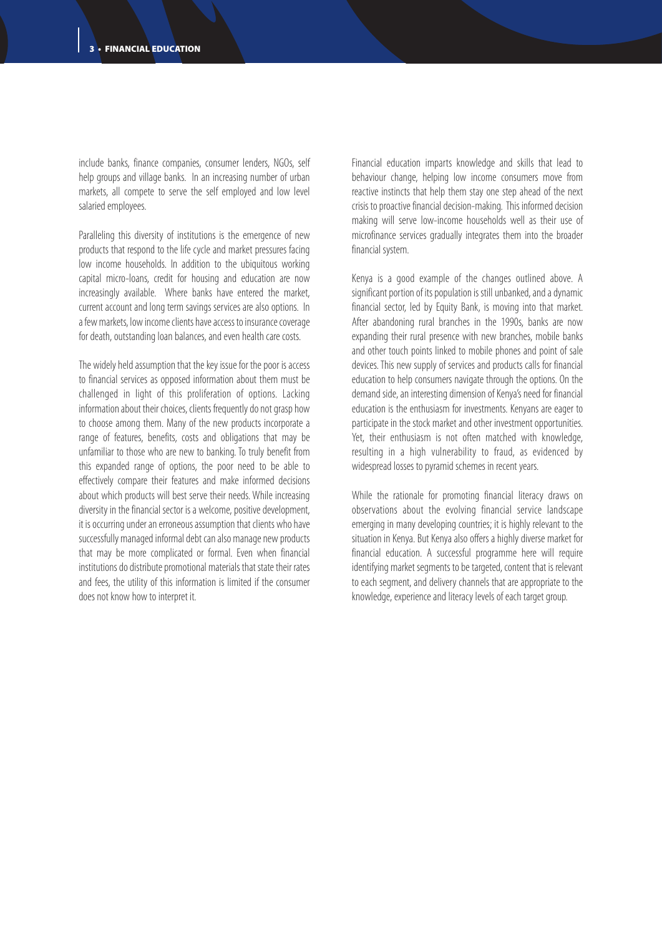include banks, finance companies, consumer lenders, NGOs, self help groups and village banks. In an increasing number of urban markets, all compete to serve the self employed and low level salaried employees.

Paralleling this diversity of institutions is the emergence of new products that respond to the life cycle and market pressures facing low income households. In addition to the ubiquitous working capital micro-loans, credit for housing and education are now increasingly available. Where banks have entered the market, current account and long term savings services are also options. In a few markets, low income clients have access to insurance coverage for death, outstanding loan balances, and even health care costs.

The widely held assumption that the key issue for the poor is access to financial services as opposed information about them must be challenged in light of this proliferation of options. Lacking information about their choices, clients frequently do not grasp how to choose among them. Many of the new products incorporate a range of features, benefits, costs and obligations that may be unfamiliar to those who are new to banking. To truly benefit from this expanded range of options, the poor need to be able to effectively compare their features and make informed decisions about which products will best serve their needs. While increasing diversity in the financial sector is a welcome, positive development, it is occurring under an erroneous assumption that clients who have successfully managed informal debt can also manage new products that may be more complicated or formal. Even when financial institutions do distribute promotional materials that state their rates and fees, the utility of this information is limited if the consumer does not know how to interpret it.

Financial education imparts knowledge and skills that lead to behaviour change, helping low income consumers move from reactive instincts that help them stay one step ahead of the next crisis to proactive financial decision-making. This informed decision making will serve low-income households well as their use of microfinance services gradually integrates them into the broader financial system.

Kenya is a good example of the changes outlined above. A significant portion of its population is still unbanked, and a dynamic financial sector, led by Equity Bank, is moving into that market. After abandoning rural branches in the 1990s, banks are now expanding their rural presence with new branches, mobile banks and other touch points linked to mobile phones and point of sale devices. This new supply of services and products calls for financial education to help consumers navigate through the options. On the demand side, an interesting dimension of Kenya's need for financial education is the enthusiasm for investments. Kenyans are eager to participate in the stock market and other investment opportunities. Yet, their enthusiasm is not often matched with knowledge, resulting in a high vulnerability to fraud, as evidenced by widespread losses to pyramid schemes in recent years.

While the rationale for promoting financial literacy draws on observations about the evolving financial service landscape emerging in many developing countries; it is highly relevant to the situation in Kenya. But Kenya also offers a highly diverse market for financial education. A successful programme here will require identifying market segments to be targeted, content that is relevant to each segment, and delivery channels that are appropriate to the knowledge, experience and literacy levels of each target group.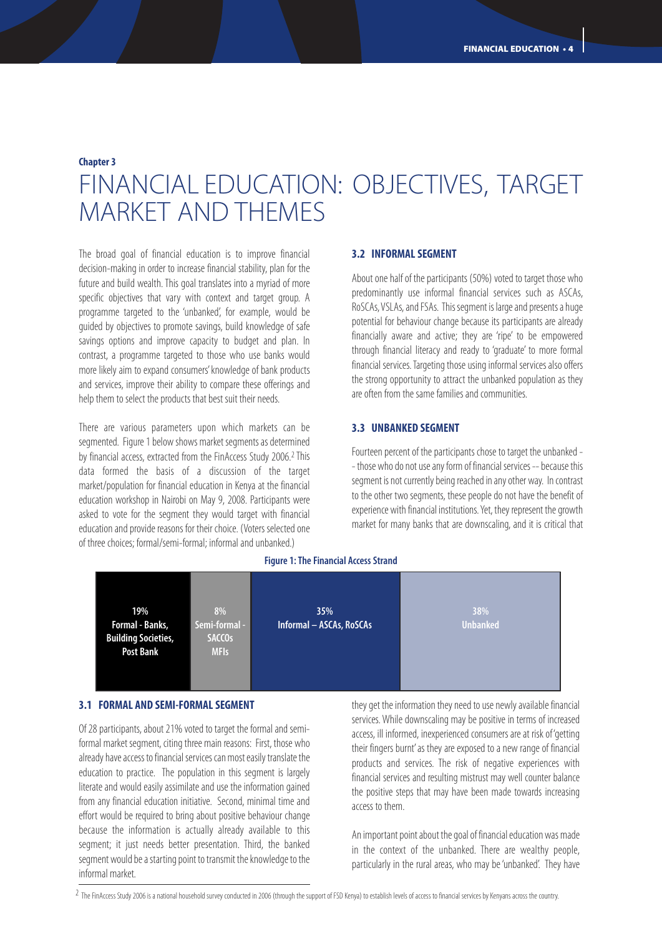## **Chapter 3** FINANCIAL EDUCATION: OBJECTIVES, TARGET MARKET AND THEMES

The broad goal of financial education is to improve financial decision-making in order to increase financial stability, plan for the future and build wealth. This goal translates into a myriad of more specific objectives that vary with context and target group. A programme targeted to the 'unbanked', for example, would be guided by objectives to promote savings, build knowledge of safe savings options and improve capacity to budget and plan. In contrast, a programme targeted to those who use banks would more likely aim to expand consumers' knowledge of bank products and services, improve their ability to compare these offerings and help them to select the products that best suit their needs.

There are various parameters upon which markets can be segmented. Figure 1 below shows market segments as determined by financial access, extracted from the FinAccess Study 2006.2 This data formed the basis of a discussion of the target market/population for financial education in Kenya at the financial education workshop in Nairobi on May 9, 2008. Participants were asked to vote for the segment they would target with financial education and provide reasons for their choice. (Voters selected one of three choices; formal/semi-formal; informal and unbanked.)

#### **3.2 INFORMAL SEGMENT**

About one half of the participants (50%) voted to target those who predominantly use informal financial services such as ASCAs, RoSCAs, VSLAs, and FSAs. This segment is large and presents a huge potential for behaviour change because its participants are already financially aware and active; they are 'ripe' to be empowered through financial literacy and ready to 'graduate' to more formal financial services. Targeting those using informal services also offers the strong opportunity to attract the unbanked population as they are often from the same families and communities.

#### **3.3 UNBANKED SEGMENT**

Fourteen percent of the participants chose to target the unbanked - - those who do not use any form of financial services -- because this segment is not currently being reached in any other way. In contrast to the other two segments, these people do not have the benefit of experience with financial institutions. Yet, they represent the growth market for many banks that are downscaling, and it is critical that



#### **Figure 1: The Financial Access Strand**

#### **3.1 FORMAL AND SEMI-FORMAL SEGMENT**

Of 28 participants, about 21% voted to target the formal and semiformal market segment, citing three main reasons: First, those who already have access to financial services can most easily translate the education to practice. The population in this segment is largely literate and would easily assimilate and use the information gained from any financial education initiative. Second, minimal time and effort would be required to bring about positive behaviour change because the information is actually already available to this segment; it just needs better presentation. Third, the banked segment would be a starting point to transmit the knowledge to the informal market.

they get the information they need to use newly available financial services. While downscaling may be positive in terms of increased access, ill informed, inexperienced consumers are at risk of 'getting their fingers burnt' as they are exposed to a new range of financial products and services. The risk of negative experiences with financial services and resulting mistrust may well counter balance the positive steps that may have been made towards increasing access to them.

An important point about the goal of financial education was made in the context of the unbanked. There are wealthy people, particularly in the rural areas, who may be 'unbanked'. They have

<sup>&</sup>lt;sup>2</sup> The FinAccess Study 2006 is a national household survey conducted in 2006 (through the support of FSD Kenya) to establish levels of access to financial services by Kenyans across the country.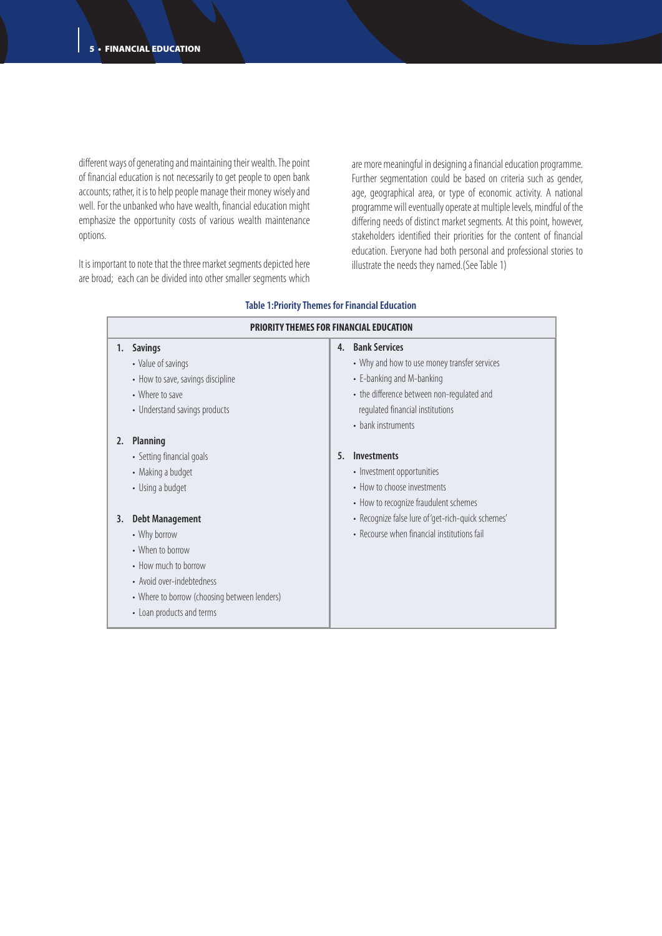different ways of generating and maintaining their wealth. The point of financial education is not necessarily to get people to open bank accounts; rather, it is to help people manage their money wisely and well. For the unbanked who have wealth, financial education might emphasize the opportunity costs of various wealth maintenance options.

It is important to note that the three market segments depicted here are broad; each can be divided into other smaller segments which are more meaningful in designing a financial education programme. Further segmentation could be based on criteria such as gender, age, geographical area, or type of economic activity. A national programme will eventually operate at multiple levels, mindful of the differing needs of distinct market segments. At this point, however, stakeholders identified their priorities for the content of financial education. Everyone had both personal and professional stories to illustrate the needs they named.(See Table 1)

| <b>PRIORITY THEMES FOR FINANCIAL EDUCATION</b> |                                              |    |                                                    |
|------------------------------------------------|----------------------------------------------|----|----------------------------------------------------|
| 1.                                             | <b>Savings</b>                               | 4. | <b>Bank Services</b>                               |
|                                                | • Value of savings                           |    | • Why and how to use money transfer services       |
|                                                | • How to save, savings discipline            |    | • E-banking and M-banking                          |
|                                                | • Where to save                              |    | • the difference between non-regulated and         |
|                                                | • Understand savings products                |    | regulated financial institutions                   |
|                                                |                                              |    | • bank instruments                                 |
| 2.                                             | <b>Planning</b>                              |    |                                                    |
|                                                | • Setting financial goals                    | 5. | <b>Investments</b>                                 |
|                                                | • Making a budget                            |    | • Investment opportunities                         |
|                                                | • Using a budget                             |    | • How to choose investments                        |
|                                                |                                              |    | • How to recognize fraudulent schemes              |
| 3.                                             | <b>Debt Management</b>                       |    | · Recognize false lure of 'get-rich-quick schemes' |
|                                                | • Why borrow                                 |    | • Recourse when financial institutions fail        |
|                                                | • When to borrow                             |    |                                                    |
|                                                | • How much to borrow                         |    |                                                    |
|                                                | • Avoid over-indebtedness                    |    |                                                    |
|                                                | • Where to borrow (choosing between lenders) |    |                                                    |
|                                                | • Loan products and terms                    |    |                                                    |
|                                                |                                              |    |                                                    |

#### **Table 1:Priority Themes for Financial Education**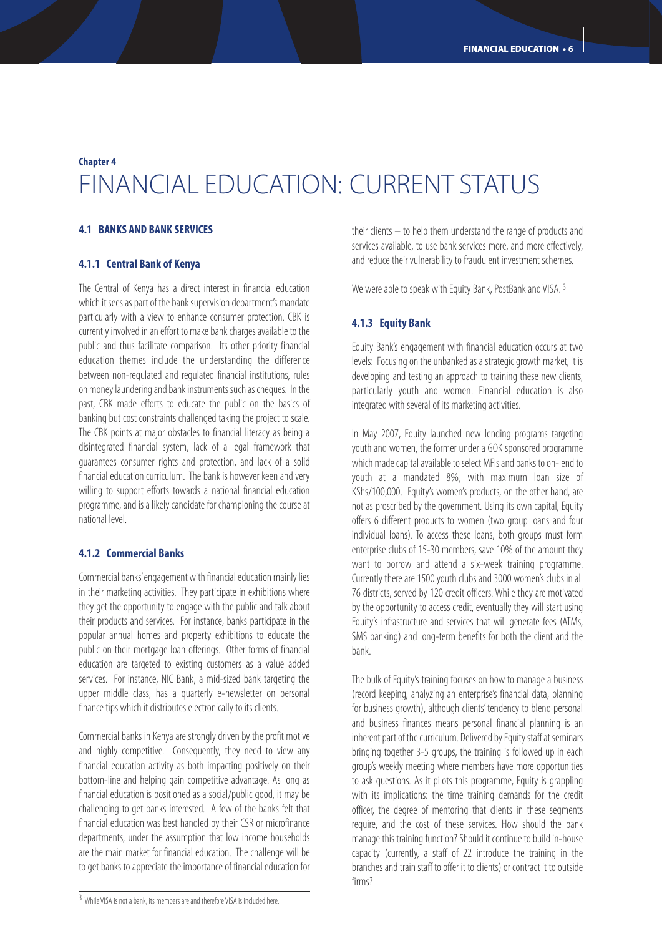### **Chapter 4** FINANCIAL EDUCATION: CURRENT STATUS

#### **4.1 BANKS AND BANK SERVICES**

#### **4.1.1 Central Bank of Kenya**

The Central of Kenya has a direct interest in financial education which it sees as part of the bank supervision department's mandate particularly with a view to enhance consumer protection. CBK is currently involved in an effort to make bank charges available to the public and thus facilitate comparison. Its other priority financial education themes include the understanding the difference between non-regulated and regulated financial institutions, rules on money laundering and bank instruments such as cheques. In the past, CBK made efforts to educate the public on the basics of banking but cost constraints challenged taking the project to scale. The CBK points at major obstacles to financial literacy as being a disintegrated financial system, lack of a legal framework that guarantees consumer rights and protection, and lack of a solid financial education curriculum. The bank is however keen and very willing to support efforts towards a national financial education programme, and is a likely candidate for championing the course at national level.

#### **4.1.2 Commercial Banks**

Commercial banks'engagement with financial education mainly lies in their marketing activities. They participate in exhibitions where they get the opportunity to engage with the public and talk about their products and services. For instance, banks participate in the popular annual homes and property exhibitions to educate the public on their mortgage loan offerings. Other forms of financial education are targeted to existing customers as a value added services. For instance, NIC Bank, a mid-sized bank targeting the upper middle class, has a quarterly e-newsletter on personal finance tips which it distributes electronically to its clients.

Commercial banks in Kenya are strongly driven by the profit motive and highly competitive. Consequently, they need to view any financial education activity as both impacting positively on their bottom-line and helping gain competitive advantage. As long as financial education is positioned as a social/public good, it may be challenging to get banks interested. A few of the banks felt that financial education was best handled by their CSR or microfinance departments, under the assumption that low income households are the main market for financial education. The challenge will be to get banks to appreciate the importance of financial education for

their clients – to help them understand the range of products and services available, to use bank services more, and more effectively, and reduce their vulnerability to fraudulent investment schemes.

We were able to speak with Equity Bank, PostBank and VISA. 3

#### **4.1.3 Equity Bank**

Equity Bank's engagement with financial education occurs at two levels: Focusing on the unbanked as a strategic growth market, it is developing and testing an approach to training these new clients, particularly youth and women. Financial education is also integrated with several of its marketing activities.

In May 2007, Equity launched new lending programs targeting youth and women, the former under a GOK sponsored programme which made capital available to select MFIs and banks to on-lend to youth at a mandated 8%, with maximum loan size of KShs/100,000. Equity's women's products, on the other hand, are not as proscribed by the government. Using its own capital, Equity offers 6 different products to women (two group loans and four individual loans). To access these loans, both groups must form enterprise clubs of 15-30 members, save 10% of the amount they want to borrow and attend a six-week training programme. Currently there are 1500 youth clubs and 3000 women's clubs in all 76 districts, served by 120 credit officers. While they are motivated by the opportunity to access credit, eventually they will start using Equity's infrastructure and services that will generate fees (ATMs, SMS banking) and long-term benefits for both the client and the bank.

The bulk of Equity's training focuses on how to manage a business (record keeping, analyzing an enterprise's financial data, planning for business growth), although clients' tendency to blend personal and business finances means personal financial planning is an inherent part of the curriculum. Delivered by Equity staff at seminars bringing together 3-5 groups, the training is followed up in each group's weekly meeting where members have more opportunities to ask questions. As it pilots this programme, Equity is grappling with its implications: the time training demands for the credit officer, the degree of mentoring that clients in these segments require, and the cost of these services. How should the bank manage this training function? Should it continue to build in-house capacity (currently, a staff of 22 introduce the training in the branches and train staff to offer it to clients) or contract it to outside firms?

<sup>3</sup> While VISA is not a bank, its members are and therefore VISA is included here.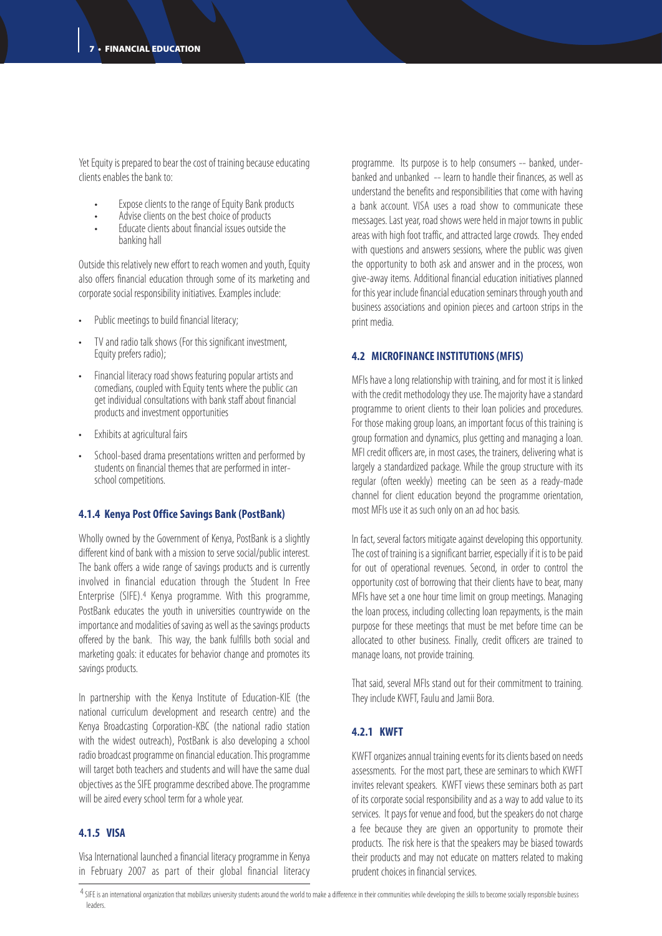Yet Equity is prepared to bear the cost of training because educating clients enables the bank to:

- Expose clients to the range of Equity Bank products
- Advise clients on the best choice of products
- Educate clients about financial issues outside the banking hall

Outside this relatively new effort to reach women and youth, Equity also offers financial education through some of its marketing and corporate social responsibility initiatives. Examples include:

- Public meetings to build financial literacy;
- TV and radio talk shows (For this significant investment, Equity prefers radio);
- Financial literacy road shows featuring popular artists and comedians, coupled with Equity tents where the public can get individual consultations with bank staff about financial products and investment opportunities
- Exhibits at agricultural fairs
- School-based drama presentations written and performed by students on financial themes that are performed in interschool competitions.

#### **4.1.4 Kenya Post Office Savings Bank (PostBank)**

Wholly owned by the Government of Kenya, PostBank is a slightly different kind of bank with a mission to serve social/public interest. The bank offers a wide range of savings products and is currently involved in financial education through the Student In Free Enterprise (SIFE).4 Kenya programme. With this programme, PostBank educates the youth in universities countrywide on the importance and modalities of saving as well as the savings products offered by the bank. This way, the bank fulfills both social and marketing goals: it educates for behavior change and promotes its savings products.

In partnership with the Kenya Institute of Education-KIE (the national curriculum development and research centre) and the Kenya Broadcasting Corporation-KBC (the national radio station with the widest outreach), PostBank is also developing a school radio broadcast programme on financial education. This programme will target both teachers and students and will have the same dual objectives as the SIFE programme described above. The programme will be aired every school term for a whole year.

#### **4.1.5 VISA**

Visa International launched a financial literacy programme in Kenya in February 2007 as part of their global financial literacy

programme. Its purpose is to help consumers -- banked, underbanked and unbanked -- learn to handle their finances, as well as understand the benefits and responsibilities that come with having a bank account. VISA uses a road show to communicate these messages. Last year, road shows were held in major towns in public areas with high foot traffic, and attracted large crowds. They ended with questions and answers sessions, where the public was given the opportunity to both ask and answer and in the process, won give-away items. Additional financial education initiatives planned for this year include financial education seminars through youth and business associations and opinion pieces and cartoon strips in the print media.

#### **4.2 MICROFINANCE INSTITUTIONS (MFIS)**

MFIs have a long relationship with training, and for most it is linked with the credit methodology they use. The majority have a standard programme to orient clients to their loan policies and procedures. For those making group loans, an important focus of this training is group formation and dynamics, plus getting and managing a loan. MFI credit officers are, in most cases, the trainers, delivering what is largely a standardized package. While the group structure with its regular (often weekly) meeting can be seen as a ready-made channel for client education beyond the programme orientation, most MFIs use it as such only on an ad hoc basis.

In fact, several factors mitigate against developing this opportunity. The cost of training is a significant barrier, especially if it is to be paid for out of operational revenues. Second, in order to control the opportunity cost of borrowing that their clients have to bear, many MFIs have set a one hour time limit on group meetings. Managing the loan process, including collecting loan repayments, is the main purpose for these meetings that must be met before time can be allocated to other business. Finally, credit officers are trained to manage loans, not provide training.

That said, several MFIs stand out for their commitment to training. They include KWFT, Faulu and Jamii Bora.

#### **4.2.1 KWFT**

KWFT organizes annual training events for its clients based on needs assessments. For the most part, these are seminars to which KWFT invites relevant speakers. KWFT views these seminars both as part of its corporate social responsibility and as a way to add value to its services. It pays for venue and food, but the speakers do not charge a fee because they are given an opportunity to promote their products. The risk here is that the speakers may be biased towards their products and may not educate on matters related to making prudent choices in financial services.

4 SIFE is an international organization that mobilizes university students around the world to make a difference in their communities while developing the skills to become socially responsible business leaders.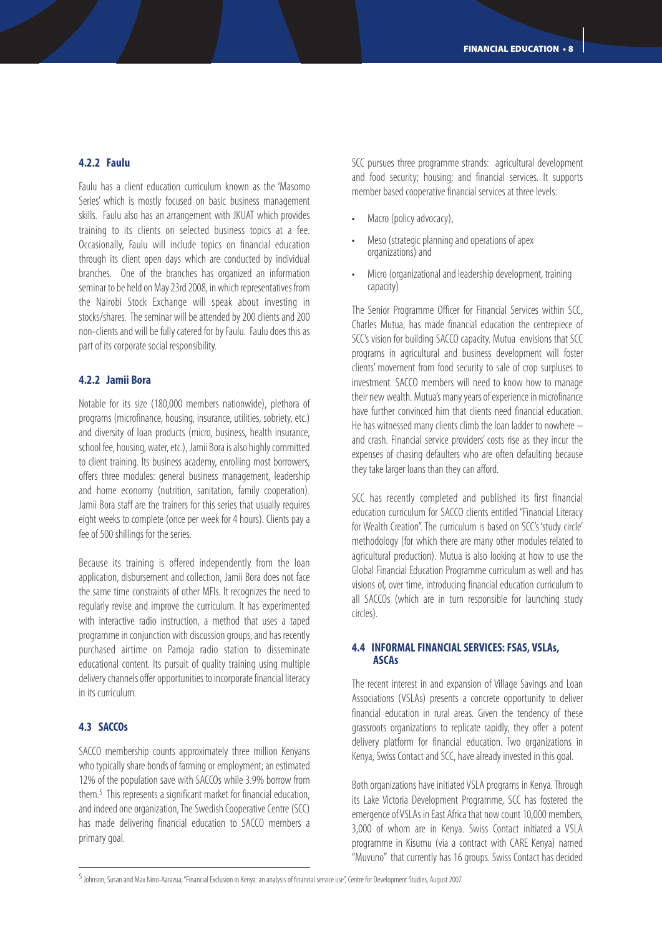#### **4.2.2 Faulu**

Faulu has a client education curriculum known as the 'Masomo Series' which is mostly focused on basic business management skills. Faulu also has an arrangement with JKUAT which provides training to its clients on selected business topics at a fee. Occasionally, Faulu will include topics on financial education through its client open days which are conducted by individual branches. One of the branches has organized an information seminar to be held on May 23rd 2008, in which representatives from the Nairobi Stock Exchange will speak about investing in stocks/shares. The seminar will be attended by 200 clients and 200 non-clients and will be fully catered for by Faulu. Faulu does this as part of its corporate social responsibility.

#### **4.2.2 Jamii Bora**

Notable for its size (180,000 members nationwide), plethora of programs (microfinance, housing, insurance, utilities, sobriety, etc.) and diversity of loan products (micro, business, health insurance, school fee, housing, water, etc.), Jamii Bora is also highly committed to client training. Its business academy, enrolling most borrowers, offers three modules: general business management, leadership and home economy (nutrition, sanitation, family cooperation). Jamii Bora staff are the trainers for this series that usually requires eight weeks to complete (once per week for 4 hours). Clients pay a fee of 500 shillings for the series.

Because its training is offered independently from the loan application, disbursement and collection, Jamii Bora does not face the same time constraints of other MFIs. It recognizes the need to regularly revise and improve the curriculum. It has experimented with interactive radio instruction, a method that uses a taped programme in conjunction with discussion groups, and has recently purchased airtime on Pamoja radio station to disseminate educational content. Its pursuit of quality training using multiple delivery channels offer opportunities to incorporate financial literacy in its curriculum.

#### **4.3 SACCOs**

SACCO membership counts approximately three million Kenyans who typically share bonds of farming or employment; an estimated 12% of the population save with SACCOs while 3.9% borrow from them.5 This represents a significant market for financial education, and indeed one organization, The Swedish Cooperative Centre (SCC) has made delivering financial education to SACCO members a primary goal.

SCC pursues three programme strands: agricultural development and food security; housing; and financial services. It supports member based cooperative financial services at three levels:

- Macro (policy advocacy),
- Meso (strategic planning and operations of apex organizations) and
- Micro (organizational and leadership development, training capacity)

The Senior Programme Officer for Financial Services within SCC, Charles Mutua, has made financial education the centrepiece of SCC's vision for building SACCO capacity. Mutua envisions that SCC programs in agricultural and business development will foster clients' movement from food security to sale of crop surpluses to investment. SACCO members will need to know how to manage their new wealth. Mutua's many years of experience in microfinance have further convinced him that clients need financial education. He has witnessed many clients climb the loan ladder to nowhere – and crash. Financial service providers' costs rise as they incur the expenses of chasing defaulters who are often defaulting because they take larger loans than they can afford.

SCC has recently completed and published its first financial education curriculum for SACCO clients entitled "Financial Literacy for Wealth Creation". The curriculum is based on SCC's 'study circle' methodology (for which there are many other modules related to agricultural production). Mutua is also looking at how to use the Global Financial Education Programme curriculum as well and has visions of, over time, introducing financial education curriculum to all SACCOs (which are in turn responsible for launching study circles).

#### **4.4 INFORMAL FINANCIAL SERVICES: FSAS, VSLAs, ASCAs**

The recent interest in and expansion of Village Savings and Loan Associations (VSLAs) presents a concrete opportunity to deliver financial education in rural areas. Given the tendency of these grassroots organizations to replicate rapidly, they offer a potent delivery platform for financial education. Two organizations in Kenya, Swiss Contact and SCC, have already invested in this goal.

Both organizations have initiated VSLA programs in Kenya. Through its Lake Victoria Development Programme, SCC has fostered the emergence of VSLAs in East Africa that now count 10,000 members, 3,000 of whom are in Kenya. Swiss Contact initiated a VSLA programme in Kisumu (via a contract with CARE Kenya) named "Muvuno" that currently has 16 groups. Swiss Contact has decided

<sup>5</sup>Johnson, Susan and Max Nino-Aarazua, "Financial Exclusion in Kenya: an analysis of financial service use", Centre for Development Studies, August 2007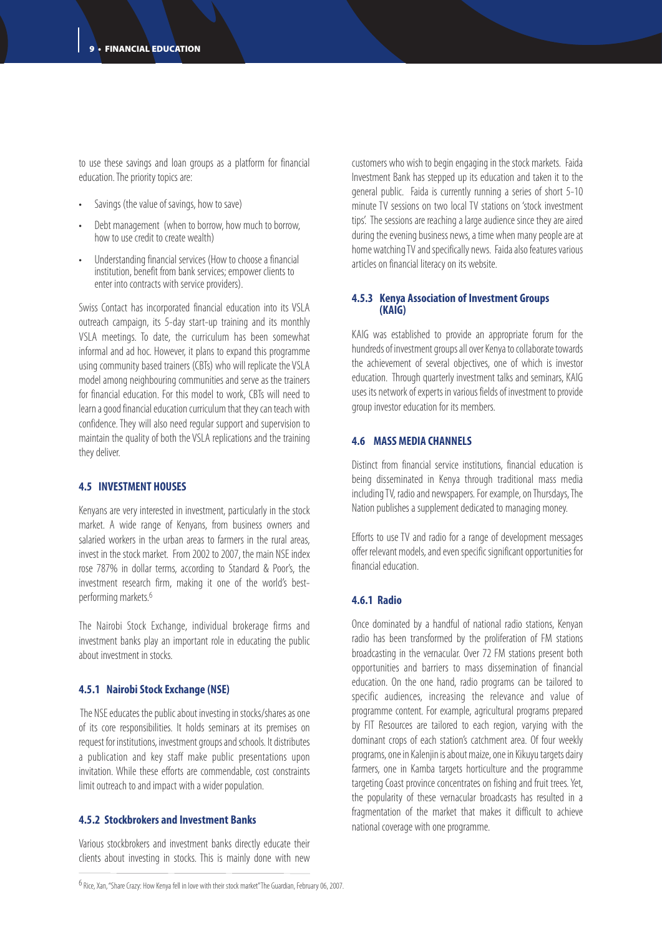to use these savings and loan groups as a platform for financial education. The priority topics are:

- Savings (the value of savings, how to save)
- Debt management (when to borrow, how much to borrow, how to use credit to create wealth)
- Understanding financial services (How to choose a financial institution, benefit from bank services; empower clients to enter into contracts with service providers).

Swiss Contact has incorporated financial education into its VSLA outreach campaign, its 5-day start-up training and its monthly VSLA meetings. To date, the curriculum has been somewhat informal and ad hoc. However, it plans to expand this programme using community based trainers (CBTs) who will replicate the VSLA model among neighbouring communities and serve as the trainers for financial education. For this model to work, CBTs will need to learn a good financial education curriculum that they can teach with confidence. They will also need regular support and supervision to maintain the quality of both the VSLA replications and the training they deliver.

#### **4.5 INVESTMENT HOUSES**

Kenyans are very interested in investment, particularly in the stock market. A wide range of Kenyans, from business owners and salaried workers in the urban areas to farmers in the rural areas, invest in the stock market. From 2002 to 2007, the main NSE index rose 787% in dollar terms, according to Standard & Poor's, the investment research firm, making it one of the world's bestperforming markets.6

The Nairobi Stock Exchange, individual brokerage firms and investment banks play an important role in educating the public about investment in stocks.

#### **4.5.1 Nairobi Stock Exchange (NSE)**

The NSE educates the public about investing in stocks/shares as one of its core responsibilities. It holds seminars at its premises on request for institutions, investment groups and schools. It distributes a publication and key staff make public presentations upon invitation. While these efforts are commendable, cost constraints limit outreach to and impact with a wider population.

#### **4.5.2 Stockbrokers and Investment Banks**

Various stockbrokers and investment banks directly educate their clients about investing in stocks. This is mainly done with new customers who wish to begin engaging in the stock markets. Faida Investment Bank has stepped up its education and taken it to the general public. Faida is currently running a series of short 5-10 minute TV sessions on two local TV stations on 'stock investment tips'. The sessions are reaching a large audience since they are aired during the evening business news, a time when many people are at home watching TV and specifically news. Faida also features various articles on financial literacy on its website.

#### **4.5.3 Kenya Association of Investment Groups (KAIG)**

KAIG was established to provide an appropriate forum for the hundreds of investment groups all over Kenya to collaborate towards the achievement of several objectives, one of which is investor education. Through quarterly investment talks and seminars, KAIG uses its network of experts in various fields of investment to provide group investor education for its members.

#### **4.6 MASS MEDIA CHANNELS**

Distinct from financial service institutions, financial education is being disseminated in Kenya through traditional mass media including TV, radio and newspapers. For example, on Thursdays, The Nation publishes a supplement dedicated to managing money.

Efforts to use TV and radio for a range of development messages offer relevant models, and even specific significant opportunities for financial education.

#### **4.6.1 Radio**

Once dominated by a handful of national radio stations, Kenyan radio has been transformed by the proliferation of FM stations broadcasting in the vernacular. Over 72 FM stations present both opportunities and barriers to mass dissemination of financial education. On the one hand, radio programs can be tailored to specific audiences, increasing the relevance and value of programme content. For example, agricultural programs prepared by FIT Resources are tailored to each region, varying with the dominant crops of each station's catchment area. Of four weekly programs, one in Kalenjin is about maize, one in Kikuyu targets dairy farmers, one in Kamba targets horticulture and the programme targeting Coast province concentrates on fishing and fruit trees. Yet, the popularity of these vernacular broadcasts has resulted in a fragmentation of the market that makes it difficult to achieve national coverage with one programme.

 $6$  Rice, Xan, "Share Crazy: How Kenya fell in love with their stock market"The Guardian, February 06, 2007.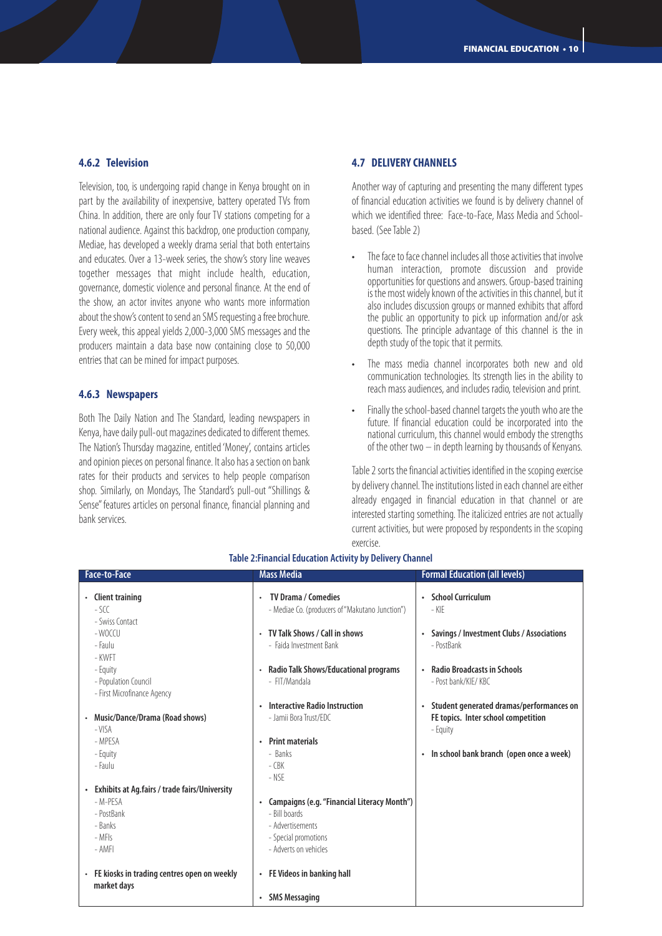#### **4.6.2 Television**

Television, too, is undergoing rapid change in Kenya brought on in part by the availability of inexpensive, battery operated TVs from China. In addition, there are only four TV stations competing for a national audience. Against this backdrop, one production company, Mediae, has developed a weekly drama serial that both entertains and educates. Over a 13-week series, the show's story line weaves together messages that might include health, education, governance, domestic violence and personal finance. At the end of the show, an actor invites anyone who wants more information about the show's content to send an SMS requesting a free brochure. Every week, this appeal yields 2,000-3,000 SMS messages and the producers maintain a data base now containing close to 50,000 entries that can be mined for impact purposes.

#### **4.6.3 Newspapers**

Both The Daily Nation and The Standard, leading newspapers in Kenya, have daily pull-out magazines dedicated to different themes. The Nation's Thursday magazine, entitled 'Money', contains articles and opinion pieces on personal finance. It also has a section on bank rates for their products and services to help people comparison shop. Similarly, on Mondays, The Standard's pull-out "Shillings & Sense" features articles on personal finance, financial planning and bank services.

#### **4.7 DELIVERY CHANNELS**

Another way of capturing and presenting the many different types of financial education activities we found is by delivery channel of which we identified three: Face-to-Face, Mass Media and Schoolbased. (See Table 2)

- The face to face channel includes all those activities that involve human interaction, promote discussion and provide opportunities for questions and answers. Group-based training is the most widely known of the activities in this channel, but it also includes discussion groups or manned exhibits that afford the public an opportunity to pick up information and/or ask questions. The principle advantage of this channel is the in depth study of the topic that it permits.
- The mass media channel incorporates both new and old communication technologies. Its strength lies in the ability to reach mass audiences, and includes radio, television and print.
- Finally the school-based channel targets the youth who are the future. If financial education could be incorporated into the national curriculum, this channel would embody the strengths of the other two – in depth learning by thousands of Kenyans.

Table 2 sorts the financial activities identified in the scoping exercise by delivery channel. The institutions listed in each channel are either already engaged in financial education in that channel or are interested starting something. The italicized entries are not actually current activities, but were proposed by respondents in the scoping exercise.

| <b>Client training</b><br>$-50$                                 | <b>TV Drama / Comedies</b><br>$\bullet$<br>- Mediae Co. (producers of "Makutano Junction") | • School Curriculum<br>- KIF                                                                             |
|-----------------------------------------------------------------|--------------------------------------------------------------------------------------------|----------------------------------------------------------------------------------------------------------|
| - Swiss Contact<br>- WOCCU<br>- Faulu<br>- KWFT                 | • TV Talk Shows / Call in shows<br>- Faida Investment Bank                                 | Savings / Investment Clubs / Associations<br>$\bullet$<br>- PostBank                                     |
| - Equity<br>- Population Council<br>- First Microfinance Agency | • Radio Talk Shows/Educational programs<br>- FIT/Mandala                                   | • Radio Broadcasts in Schools<br>- Post bank/KIF/KBC                                                     |
| Music/Dance/Drama (Road shows)<br>$\bullet$<br>$-VISA$          | • Interactive Radio Instruction<br>- Jamii Bora Trust/EDC                                  | Student generated dramas/performances on<br>$\bullet$<br>FE topics. Inter school competition<br>- Equity |
| - MPFSA<br>- Equity<br>- Faulu                                  | • Print materials<br>- Banks<br>$-CBK$                                                     | In school bank branch (open once a week)<br>$\bullet$                                                    |
| Exhibits at Ag.fairs / trade fairs/University<br>٠<br>- M-PFSA  | $-$ NSF<br>Campaigns (e.g. "Financial Literacy Month")<br>$\bullet$                        |                                                                                                          |
| - PostBank<br>- Banks<br>$-MF$                                  | - Bill boards<br>- Advertisements<br>- Special promotions                                  |                                                                                                          |
| - AMFI<br>• FE kiosks in trading centres open on weekly         | - Adverts on vehicles<br>• FE Videos in banking hall                                       |                                                                                                          |
| market days                                                     | <b>SMS Messaging</b><br>$\bullet$                                                          |                                                                                                          |

#### **Table 2:Financial Education Activity by Delivery Channel**

**Face-to-Face Mass Media** *Mass Media Mass Media Eormal Education (all levels)*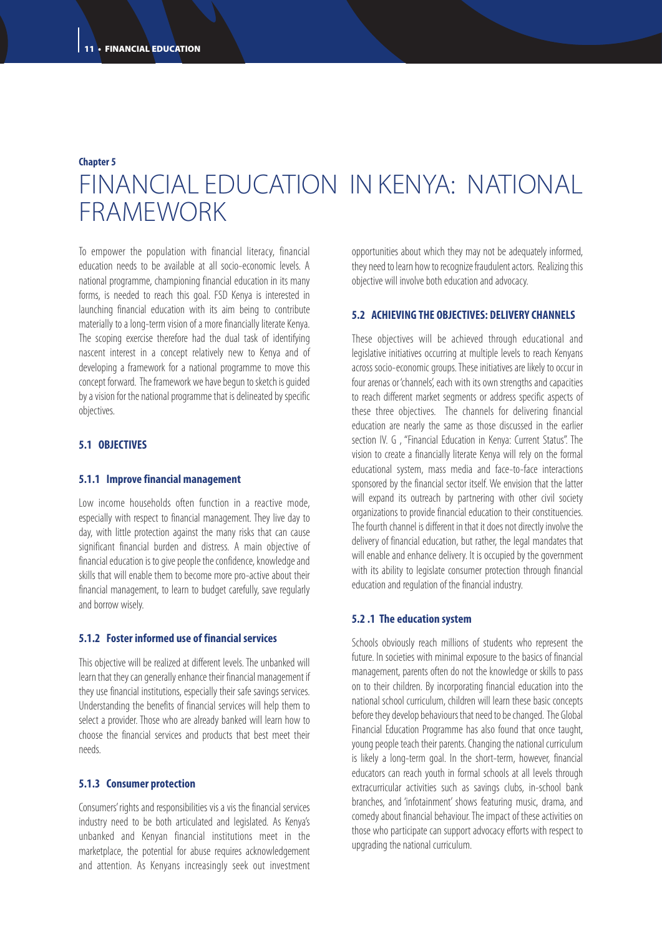## **Chapter 5** FINANCIAL EDUCATION IN KENYA: NATIONAL FRAMEWORK

To empower the population with financial literacy, financial education needs to be available at all socio-economic levels. A national programme, championing financial education in its many forms, is needed to reach this goal. FSD Kenya is interested in launching financial education with its aim being to contribute materially to a long-term vision of a more financially literate Kenya. The scoping exercise therefore had the dual task of identifying nascent interest in a concept relatively new to Kenya and of developing a framework for a national programme to move this concept forward. The framework we have begun to sketch is guided by a vision for the national programme that is delineated by specific objectives.

#### **5.1 OBJECTIVES**

#### **5.1.1 Improve financial management**

Low income households often function in a reactive mode, especially with respect to financial management. They live day to day, with little protection against the many risks that can cause significant financial burden and distress. A main objective of financial education is to give people the confidence, knowledge and skills that will enable them to become more pro-active about their financial management, to learn to budget carefully, save regularly and borrow wisely.

#### **5.1.2 Foster informed use of financial services**

This objective will be realized at different levels. The unbanked will learn that they can generally enhance their financial management if they use financial institutions, especially their safe savings services. Understanding the benefits of financial services will help them to select a provider. Those who are already banked will learn how to choose the financial services and products that best meet their needs.

#### **5.1.3 Consumer protection**

Consumers' rights and responsibilities vis a vis the financial services industry need to be both articulated and legislated. As Kenya's unbanked and Kenyan financial institutions meet in the marketplace, the potential for abuse requires acknowledgement and attention. As Kenyans increasingly seek out investment opportunities about which they may not be adequately informed, they need to learn how to recognize fraudulent actors. Realizing this objective will involve both education and advocacy.

#### **5.2 ACHIEVING THE OBJECTIVES: DELIVERY CHANNELS**

These objectives will be achieved through educational and legislative initiatives occurring at multiple levels to reach Kenyans across socio-economic groups. These initiatives are likely to occur in four arenas or 'channels', each with its own strengths and capacities to reach different market segments or address specific aspects of these three objectives. The channels for delivering financial education are nearly the same as those discussed in the earlier section IV. G , "Financial Education in Kenya: Current Status". The vision to create a financially literate Kenya will rely on the formal educational system, mass media and face-to-face interactions sponsored by the financial sector itself. We envision that the latter will expand its outreach by partnering with other civil society organizations to provide financial education to their constituencies. The fourth channel is different in that it does not directly involve the delivery of financial education, but rather, the legal mandates that will enable and enhance delivery. It is occupied by the government with its ability to legislate consumer protection through financial education and regulation of the financial industry.

#### **5.2 .1 The education system**

Schools obviously reach millions of students who represent the future. In societies with minimal exposure to the basics of financial management, parents often do not the knowledge or skills to pass on to their children. By incorporating financial education into the national school curriculum, children will learn these basic concepts before they develop behaviours that need to be changed. The Global Financial Education Programme has also found that once taught, young people teach their parents. Changing the national curriculum is likely a long-term goal. In the short-term, however, financial educators can reach youth in formal schools at all levels through extracurricular activities such as savings clubs, in-school bank branches, and 'infotainment' shows featuring music, drama, and comedy about financial behaviour. The impact of these activities on those who participate can support advocacy efforts with respect to upgrading the national curriculum.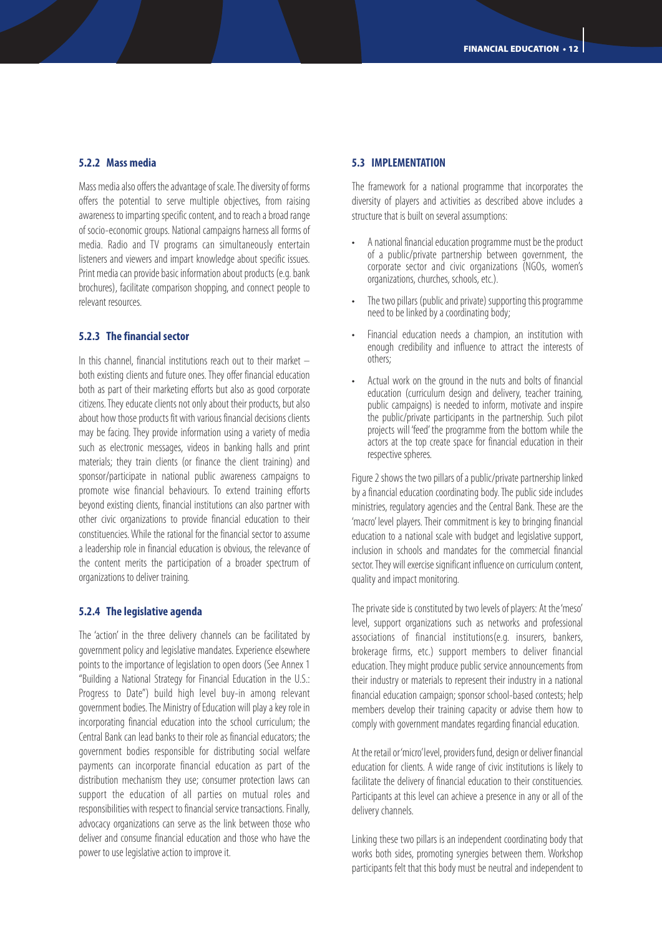#### **5.2.2 Mass media**

Mass media also offers the advantage of scale. The diversity of forms offers the potential to serve multiple objectives, from raising awareness to imparting specific content, and to reach a broad range of socio-economic groups. National campaigns harness all forms of media. Radio and TV programs can simultaneously entertain listeners and viewers and impart knowledge about specific issues. Print media can provide basic information about products (e.g. bank brochures), facilitate comparison shopping, and connect people to relevant resources.

#### **5.2.3 The financial sector**

In this channel, financial institutions reach out to their market  $$ both existing clients and future ones. They offer financial education both as part of their marketing efforts but also as good corporate citizens. They educate clients not only about their products, but also about how those products fit with various financial decisions clients may be facing. They provide information using a variety of media such as electronic messages, videos in banking halls and print materials; they train clients (or finance the client training) and sponsor/participate in national public awareness campaigns to promote wise financial behaviours. To extend training efforts beyond existing clients, financial institutions can also partner with other civic organizations to provide financial education to their constituencies. While the rational for the financial sector to assume a leadership role in financial education is obvious, the relevance of the content merits the participation of a broader spectrum of organizations to deliver training.

#### **5.2.4 The legislative agenda**

The 'action' in the three delivery channels can be facilitated by government policy and legislative mandates. Experience elsewhere points to the importance of legislation to open doors (See Annex 1 "Building a National Strategy for Financial Education in the U.S.: Progress to Date") build high level buy-in among relevant government bodies. The Ministry of Education will play a key role in incorporating financial education into the school curriculum; the Central Bank can lead banks to their role as financial educators; the government bodies responsible for distributing social welfare payments can incorporate financial education as part of the distribution mechanism they use; consumer protection laws can support the education of all parties on mutual roles and responsibilities with respect to financial service transactions. Finally, advocacy organizations can serve as the link between those who deliver and consume financial education and those who have the power to use legislative action to improve it.

#### **5.3 IMPLEMENTATION**

The framework for a national programme that incorporates the diversity of players and activities as described above includes a structure that is built on several assumptions:

- A national financial education programme must be the product of a public/private partnership between government, the corporate sector and civic organizations (NGOs, women's organizations, churches, schools, etc.).
- The two pillars (public and private) supporting this programme need to be linked by a coordinating body;
- Financial education needs a champion, an institution with enough credibility and influence to attract the interests of others;
- Actual work on the ground in the nuts and bolts of financial education (curriculum design and delivery, teacher training, public campaigns) is needed to inform, motivate and inspire the public/private participants in the partnership. Such pilot projects will 'feed' the programme from the bottom while the actors at the top create space for financial education in their respective spheres.

Figure 2 shows the two pillars of a public/private partnership linked by a financial education coordinating body. The public side includes ministries, regulatory agencies and the Central Bank. These are the 'macro' level players. Their commitment is key to bringing financial education to a national scale with budget and legislative support, inclusion in schools and mandates for the commercial financial sector. They will exercise significant influence on curriculum content, quality and impact monitoring.

The private side is constituted by two levels of players: At the 'meso' level, support organizations such as networks and professional associations of financial institutions(e.g. insurers, bankers, brokerage firms, etc.) support members to deliver financial education. They might produce public service announcements from their industry or materials to represent their industry in a national financial education campaign; sponsor school-based contests; help members develop their training capacity or advise them how to comply with government mandates regarding financial education.

At the retail or'micro'level, providers fund, design or deliver financial education for clients. A wide range of civic institutions is likely to facilitate the delivery of financial education to their constituencies. Participants at this level can achieve a presence in any or all of the delivery channels.

Linking these two pillars is an independent coordinating body that works both sides, promoting synergies between them. Workshop participants felt that this body must be neutral and independent to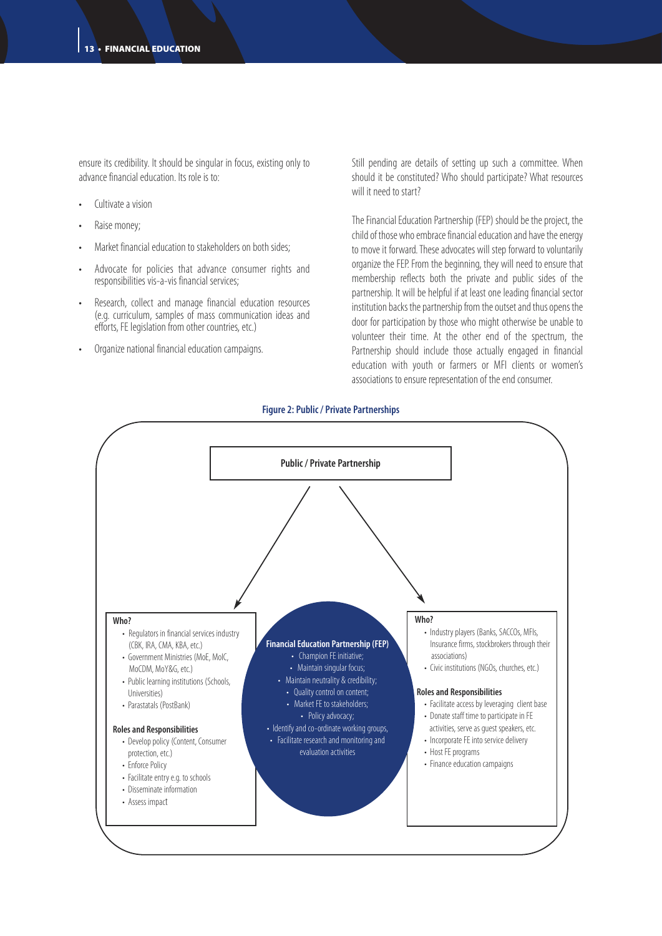ensure its credibility. It should be singular in focus, existing only to advance financial education. Its role is to:

- Cultivate a vision
- Raise money;
- Market financial education to stakeholders on both sides;
- Advocate for policies that advance consumer rights and responsibilities vis-a-vis financial services;
- Research, collect and manage financial education resources (e.g. curriculum, samples of mass communication ideas and efforts, FE legislation from other countries, etc.)
- Organize national financial education campaigns.

Still pending are details of setting up such a committee. When should it be constituted? Who should participate? What resources will it need to start?

The Financial Education Partnership (FEP) should be the project, the child of those who embrace financial education and have the energy to move it forward. These advocates will step forward to voluntarily organize the FEP. From the beginning, they will need to ensure that membership reflects both the private and public sides of the partnership. It will be helpful if at least one leading financial sector institution backs the partnership from the outset and thus opens the door for participation by those who might otherwise be unable to volunteer their time. At the other end of the spectrum, the Partnership should include those actually engaged in financial education with youth or farmers or MFI clients or women's associations to ensure representation of the end consumer.

#### **Figure 2: Public / Private Partnerships**

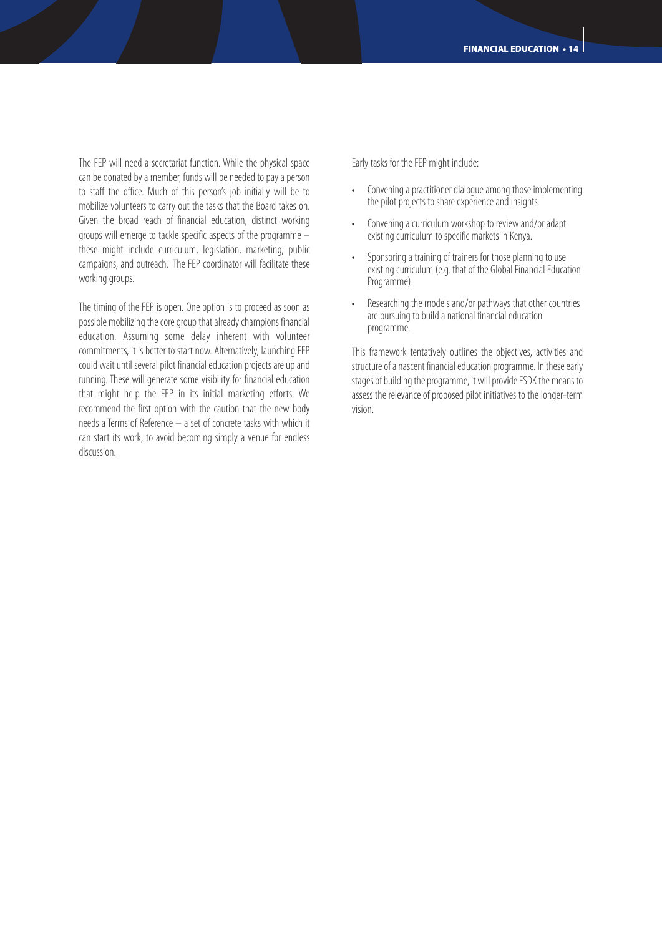The FEP will need a secretariat function. While the physical space can be donated by a member, funds will be needed to pay a person to staff the office. Much of this person's job initially will be to mobilize volunteers to carry out the tasks that the Board takes on. Given the broad reach of financial education, distinct working groups will emerge to tackle specific aspects of the programme – these might include curriculum, legislation, marketing, public campaigns, and outreach. The FEP coordinator will facilitate these working groups.

The timing of the FEP is open. One option is to proceed as soon as possible mobilizing the core group that already champions financial education. Assuming some delay inherent with volunteer commitments, it is better to start now. Alternatively, launching FEP could wait until several pilot financial education projects are up and running. These will generate some visibility for financial education that might help the FEP in its initial marketing efforts. We recommend the first option with the caution that the new body needs a Terms of Reference – a set of concrete tasks with which it can start its work, to avoid becoming simply a venue for endless discussion.

Early tasks for the FEP might include:

- Convening a practitioner dialogue among those implementing the pilot projects to share experience and insights.
- Convening a curriculum workshop to review and/or adapt existing curriculum to specific markets in Kenya.
- Sponsoring a training of trainers for those planning to use existing curriculum (e.g. that of the Global Financial Education Programme).
- Researching the models and/or pathways that other countries are pursuing to build a national financial education programme.

This framework tentatively outlines the objectives, activities and structure of a nascent financial education programme. In these early stages of building the programme, it will provide FSDK the means to assess the relevance of proposed pilot initiatives to the longer-term vision.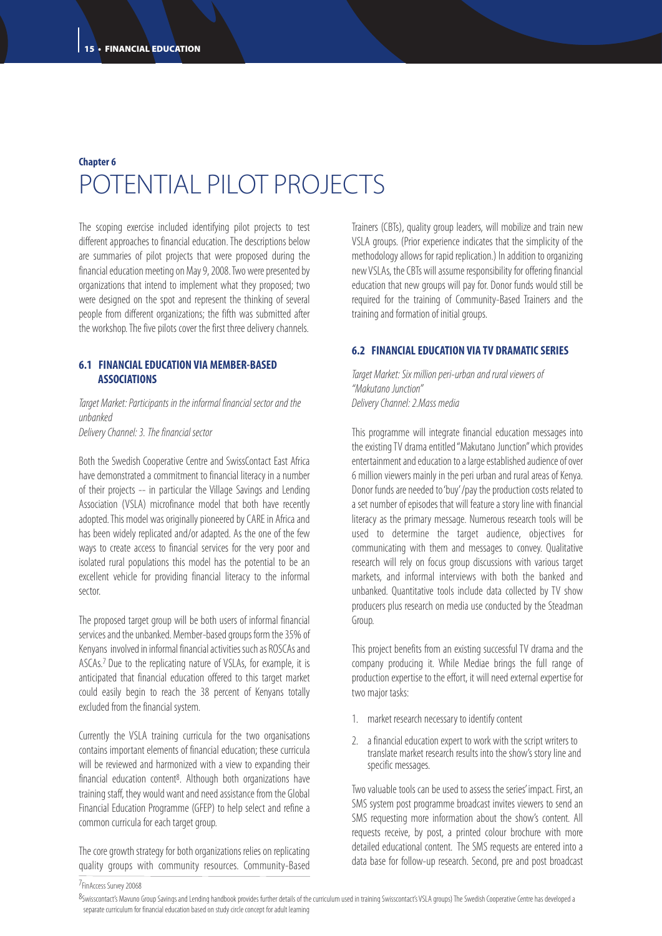### **Chapter 6** POTENTIAL PILOT PROJECTS

The scoping exercise included identifying pilot projects to test different approaches to financial education. The descriptions below are summaries of pilot projects that were proposed during the financial education meeting on May 9, 2008. Two were presented by organizations that intend to implement what they proposed; two were designed on the spot and represent the thinking of several people from different organizations; the fifth was submitted after the workshop. The five pilots cover the first three delivery channels.

#### **6.1 FINANCIAL EDUCATION VIA MEMBER-BASED ASSOCIATIONS**

*Target Market: Participants in the informal financial sector and the unbanked Delivery Channel: 3. The financial sector*

Both the Swedish Cooperative Centre and SwissContact East Africa have demonstrated a commitment to financial literacy in a number of their projects -- in particular the Village Savings and Lending Association (VSLA) microfinance model that both have recently adopted. This model was originally pioneered by CARE in Africa and has been widely replicated and/or adapted. As the one of the few

ways to create access to financial services for the very poor and isolated rural populations this model has the potential to be an excellent vehicle for providing financial literacy to the informal sector.

The proposed target group will be both users of informal financial services and the unbanked. Member-based groups form the 35% of Kenyans involved in informal financial activities such as ROSCAs and ASCAs.7 Due to the replicating nature of VSLAs, for example, it is anticipated that financial education offered to this target market could easily begin to reach the 38 percent of Kenyans totally excluded from the financial system.

Currently the VSLA training curricula for the two organisations contains important elements of financial education; these curricula will be reviewed and harmonized with a view to expanding their financial education content<sup>8</sup>. Although both organizations have training staff, they would want and need assistance from the Global Financial Education Programme (GFEP) to help select and refine a common curricula for each target group.

The core growth strategy for both organizations relies on replicating quality groups with community resources. Community-Based

Trainers (CBTs), quality group leaders, will mobilize and train new VSLA groups. (Prior experience indicates that the simplicity of the methodology allows for rapid replication.) In addition to organizing new VSLAs, the CBTs will assume responsibility for offering financial education that new groups will pay for. Donor funds would still be required for the training of Community-Based Trainers and the training and formation of initial groups.

#### **6.2 FINANCIAL EDUCATION VIA TV DRAMATIC SERIES**

*Target Market: Six million peri-urban and rural viewers of "Makutano Junction" Delivery Channel: 2.Mass media*

This programme will integrate financial education messages into the existing TV drama entitled "Makutano Junction" which provides entertainment and education to a large established audience of over 6 million viewers mainly in the peri urban and rural areas of Kenya. Donor funds are needed to'buy'/pay the production costs related to a set number of episodes that will feature a story line with financial literacy as the primary message. Numerous research tools will be used to determine the target audience, objectives for communicating with them and messages to convey. Qualitative research will rely on focus group discussions with various target markets, and informal interviews with both the banked and unbanked. Quantitative tools include data collected by TV show producers plus research on media use conducted by the Steadman Group.

This project benefits from an existing successful TV drama and the company producing it. While Mediae brings the full range of production expertise to the effort, it will need external expertise for two major tasks:

- 1. market research necessary to identify content
- 2. a financial education expert to work with the script writers to translate market research results into the show's story line and specific messages.

Two valuable tools can be used to assess the series' impact. First, an SMS system post programme broadcast invites viewers to send an SMS requesting more information about the show's content. All requests receive, by post, a printed colour brochure with more detailed educational content. The SMS requests are entered into a data base for follow-up research. Second, pre and post broadcast

7FinAccess Survey 20068

<sup>8</sup>Swisscontact's Mavuno Group Savings and Lending handbook provides further details of the curriculum used in training Swisscontact's VSLA groups) The Swedish Cooperative Centre has developed a separate curriculum for financial education based on study circle concept for adult learning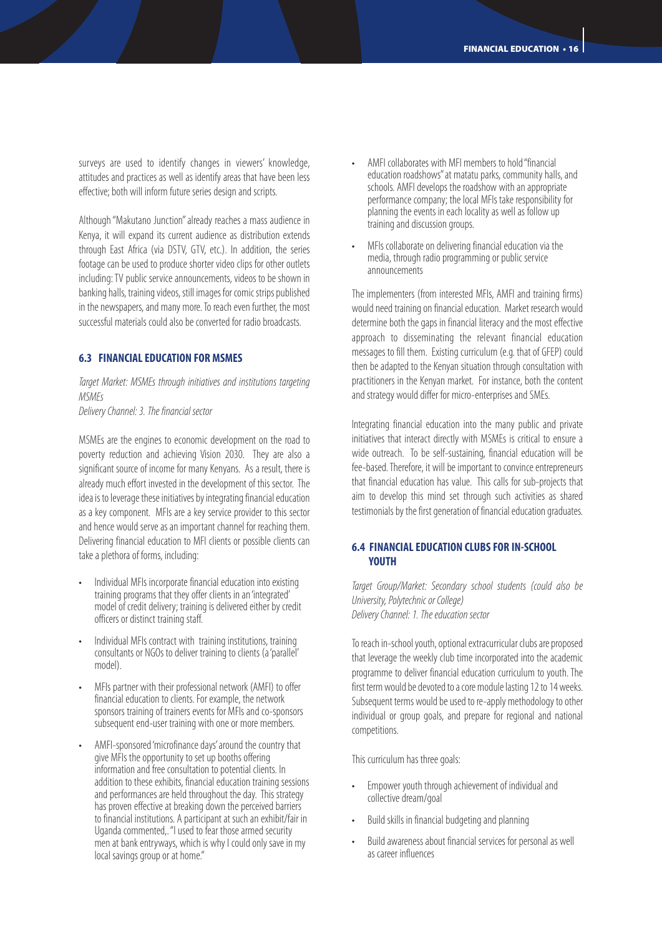surveys are used to identify changes in viewers' knowledge, attitudes and practices as well as identify areas that have been less effective; both will inform future series design and scripts.

Although "Makutano Junction" already reaches a mass audience in Kenya, it will expand its current audience as distribution extends through East Africa (via DSTV, GTV, etc.). In addition, the series footage can be used to produce shorter video clips for other outlets including: TV public service announcements, videos to be shown in banking halls, training videos, still images for comic strips published in the newspapers, and many more. To reach even further, the most successful materials could also be converted for radio broadcasts.

#### **6.3 FINANCIAL EDUCATION FOR MSMES**

*Target Market: MSMEs through initiatives and institutions targeting MSMEs*

*Delivery Channel: 3. The financial sector*

MSMEs are the engines to economic development on the road to poverty reduction and achieving Vision 2030. They are also a significant source of income for many Kenyans. As a result, there is already much effort invested in the development of this sector. The idea is to leverage these initiatives by integrating financial education as a key component. MFIs are a key service provider to this sector and hence would serve as an important channel for reaching them. Delivering financial education to MFI clients or possible clients can take a plethora of forms, including:

- Individual MFIs incorporate financial education into existing training programs that they offer clients in an 'integrated' model of credit delivery; training is delivered either by credit officers or distinct training staff.
- Individual MFIs contract with training institutions, training consultants or NGOs to deliver training to clients (a 'parallel' model).
- MFIs partner with their professional network (AMFI) to offer financial education to clients. For example, the network sponsors training of trainers events for MFIs and co-sponsors subsequent end-user training with one or more members.
- AMFI-sponsored 'microfinance days' around the country that give MFIs the opportunity to set up booths offering information and free consultation to potential clients. In addition to these exhibits, financial education training sessions and performances are held throughout the day. This strategy has proven effective at breaking down the perceived barriers to financial institutions. A participant at such an exhibit/fair in Uganda commented,. "I used to fear those armed security men at bank entryways, which is why I could only save in my local savings group or at home."
- AMFI collaborates with MFI members to hold "financial education roadshows" at matatu parks, community halls, and schools. AMFI develops the roadshow with an appropriate performance company; the local MFIs take responsibility for planning the events in each locality as well as follow up training and discussion groups.
- MFIs collaborate on delivering financial education via the media, through radio programming or public service announcements

The implementers (from interested MFIs, AMFI and training firms) would need training on financial education. Market research would determine both the gaps in financial literacy and the most effective approach to disseminating the relevant financial education messages to fill them. Existing curriculum (e.g. that of GFEP) could then be adapted to the Kenyan situation through consultation with practitioners in the Kenyan market. For instance, both the content and strategy would differ for micro-enterprises and SMEs.

Integrating financial education into the many public and private initiatives that interact directly with MSMEs is critical to ensure a wide outreach. To be self-sustaining, financial education will be fee-based. Therefore, it will be important to convince entrepreneurs that financial education has value. This calls for sub-projects that aim to develop this mind set through such activities as shared testimonials by the first generation of financial education graduates.

#### **6.4 FINANCIAL EDUCATION CLUBS FOR IN-SCHOOL YOUTH**

*Target Group/Market: Secondary school students (could also be University, Polytechnic or College) Delivery Channel: 1. The education sector*

To reach in-school youth, optional extracurricular clubs are proposed that leverage the weekly club time incorporated into the academic programme to deliver financial education curriculum to youth. The first term would be devoted to a core module lasting 12 to 14 weeks. Subsequent terms would be used to re-apply methodology to other individual or group goals, and prepare for regional and national competitions.

This curriculum has three goals:

- Empower youth through achievement of individual and collective dream/goal
- Build skills in financial budgeting and planning
- Build awareness about financial services for personal as well as career influences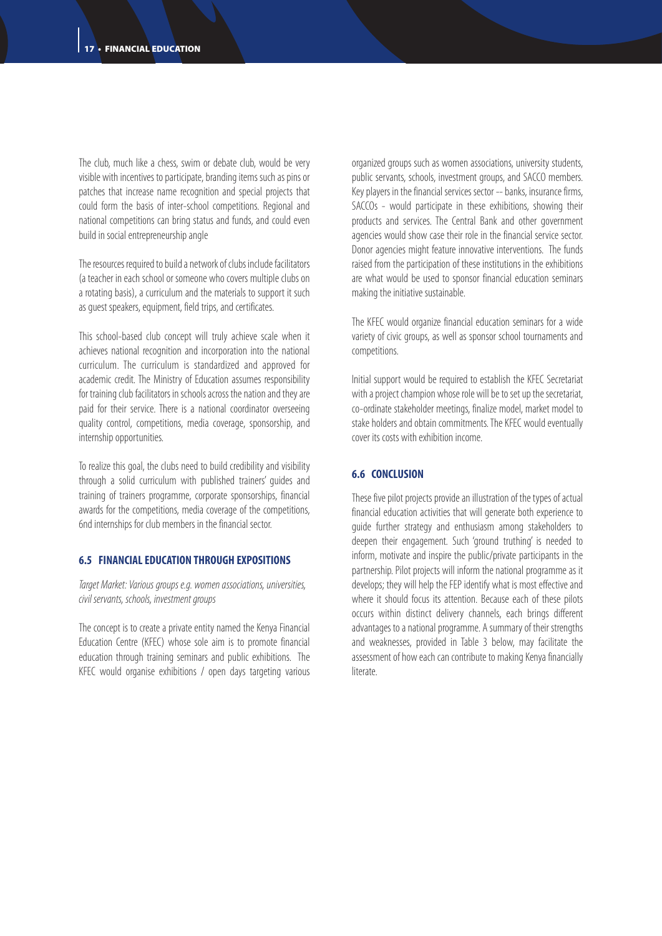The club, much like a chess, swim or debate club, would be very visible with incentives to participate, branding items such as pins or patches that increase name recognition and special projects that could form the basis of inter-school competitions. Regional and national competitions can bring status and funds, and could even build in social entrepreneurship angle

The resources required to build a network of clubs include facilitators (a teacher in each school or someone who covers multiple clubs on a rotating basis), a curriculum and the materials to support it such as guest speakers, equipment, field trips, and certificates.

This school-based club concept will truly achieve scale when it achieves national recognition and incorporation into the national curriculum. The curriculum is standardized and approved for academic credit. The Ministry of Education assumes responsibility for training club facilitators in schools across the nation and they are paid for their service. There is a national coordinator overseeing quality control, competitions, media coverage, sponsorship, and internship opportunities.

To realize this goal, the clubs need to build credibility and visibility through a solid curriculum with published trainers' guides and training of trainers programme, corporate sponsorships, financial awards for the competitions, media coverage of the competitions, 6nd internships for club members in the financial sector.

#### **6.5 FINANCIAL EDUCATION THROUGH EXPOSITIONS**

*Target Market: Various groups e.g. women associations, universities, civil servants, schools, investment groups*

The concept is to create a private entity named the Kenya Financial Education Centre (KFEC) whose sole aim is to promote financial education through training seminars and public exhibitions. The KFEC would organise exhibitions / open days targeting various

organized groups such as women associations, university students, public servants, schools, investment groups, and SACCO members. Key players in the financial services sector -- banks, insurance firms, SACCOs - would participate in these exhibitions, showing their products and services. The Central Bank and other government agencies would show case their role in the financial service sector. Donor agencies might feature innovative interventions. The funds raised from the participation of these institutions in the exhibitions are what would be used to sponsor financial education seminars making the initiative sustainable.

The KFEC would organize financial education seminars for a wide variety of civic groups, as well as sponsor school tournaments and competitions.

Initial support would be required to establish the KFEC Secretariat with a project champion whose role will be to set up the secretariat, co-ordinate stakeholder meetings, finalize model, market model to stake holders and obtain commitments. The KFEC would eventually cover its costs with exhibition income.

#### **6.6 CONCLUSION**

These five pilot projects provide an illustration of the types of actual financial education activities that will generate both experience to guide further strategy and enthusiasm among stakeholders to deepen their engagement. Such 'ground truthing' is needed to inform, motivate and inspire the public/private participants in the partnership. Pilot projects will inform the national programme as it develops; they will help the FEP identify what is most effective and where it should focus its attention. Because each of these pilots occurs within distinct delivery channels, each brings different advantages to a national programme. A summary of their strengths and weaknesses, provided in Table 3 below, may facilitate the assessment of how each can contribute to making Kenya financially literate.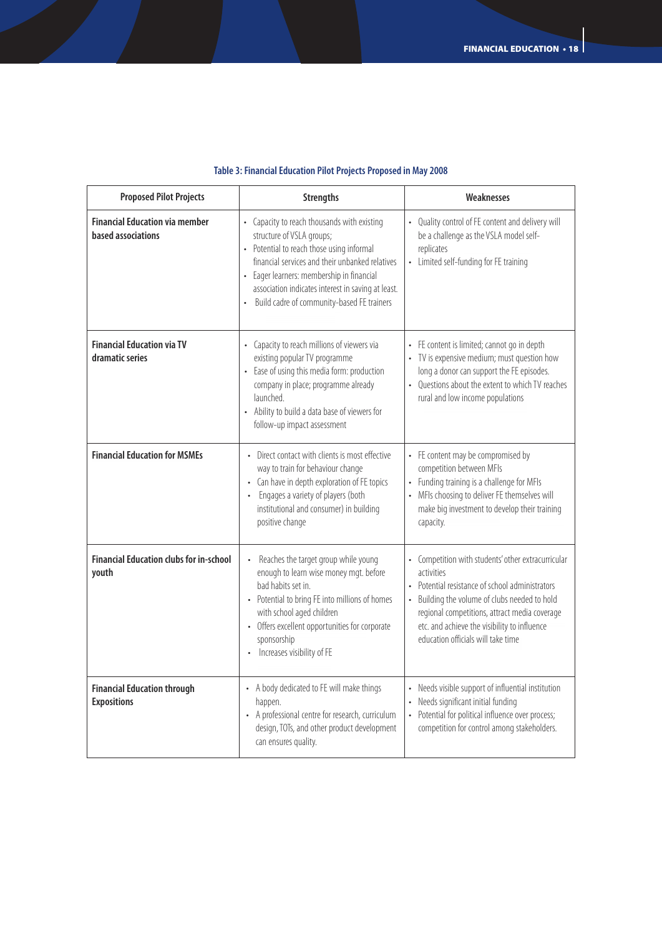| <b>Proposed Pilot Projects</b>                              | <b>Strengths</b>                                                                                                                                                                                                                                                                                                                                  | Weaknesses                                                                                                                                                                                                                                                                                            |  |
|-------------------------------------------------------------|---------------------------------------------------------------------------------------------------------------------------------------------------------------------------------------------------------------------------------------------------------------------------------------------------------------------------------------------------|-------------------------------------------------------------------------------------------------------------------------------------------------------------------------------------------------------------------------------------------------------------------------------------------------------|--|
| <b>Financial Education via member</b><br>based associations | • Capacity to reach thousands with existing<br>structure of VSLA groups;<br>• Potential to reach those using informal<br>financial services and their unbanked relatives<br>Eager learners: membership in financial<br>$\bullet$<br>association indicates interest in saving at least.<br>Build cadre of community-based FE trainers<br>$\bullet$ | Quality control of FE content and delivery will<br>be a challenge as the VSLA model self-<br>replicates<br>• Limited self-funding for FE training                                                                                                                                                     |  |
| <b>Financial Education via TV</b><br>dramatic series        | Capacity to reach millions of viewers via<br>existing popular TV programme<br>• Ease of using this media form: production<br>company in place; programme already<br>launched<br>• Ability to build a data base of viewers for<br>follow-up impact assessment                                                                                      | FE content is limited; cannot go in depth<br>• TV is expensive medium; must question how<br>long a donor can support the FE episodes.<br>Ouestions about the extent to which TV reaches<br>rural and low income populations                                                                           |  |
| <b>Financial Education for MSMEs</b>                        | • Direct contact with clients is most effective<br>way to train for behaviour change<br>• Can have in depth exploration of FE topics<br>Engages a variety of players (both<br>institutional and consumer) in building<br>positive change                                                                                                          | • FE content may be compromised by<br>competition between MFIs<br>Funding training is a challenge for MFIs<br>MFIs choosing to deliver FE themselves will<br>make big investment to develop their training<br>capacity.                                                                               |  |
| <b>Financial Education clubs for in-school</b><br>youth     | Reaches the target group while young<br>enough to learn wise money mgt. before<br>bad habits set in.<br>• Potential to bring FE into millions of homes<br>with school aged children<br>• Offers excellent opportunities for corporate<br>sponsorship<br>Increases visibility of FE                                                                | Competition with students' other extracurricular<br>activities<br>Potential resistance of school administrators<br>Building the volume of clubs needed to hold<br>regional competitions, attract media coverage<br>etc. and achieve the visibility to influence<br>education officials will take time |  |
| <b>Financial Education through</b><br><b>Expositions</b>    | • A body dedicated to FE will make things<br>happen.<br>• A professional centre for research, curriculum<br>design, TOTs, and other product development<br>can ensures quality.                                                                                                                                                                   | Needs visible support of influential institution<br>Needs significant initial funding<br>Potential for political influence over process;<br>competition for control among stakeholders.                                                                                                               |  |

#### **Table 3: Financial Education Pilot Projects Proposed in May 2008**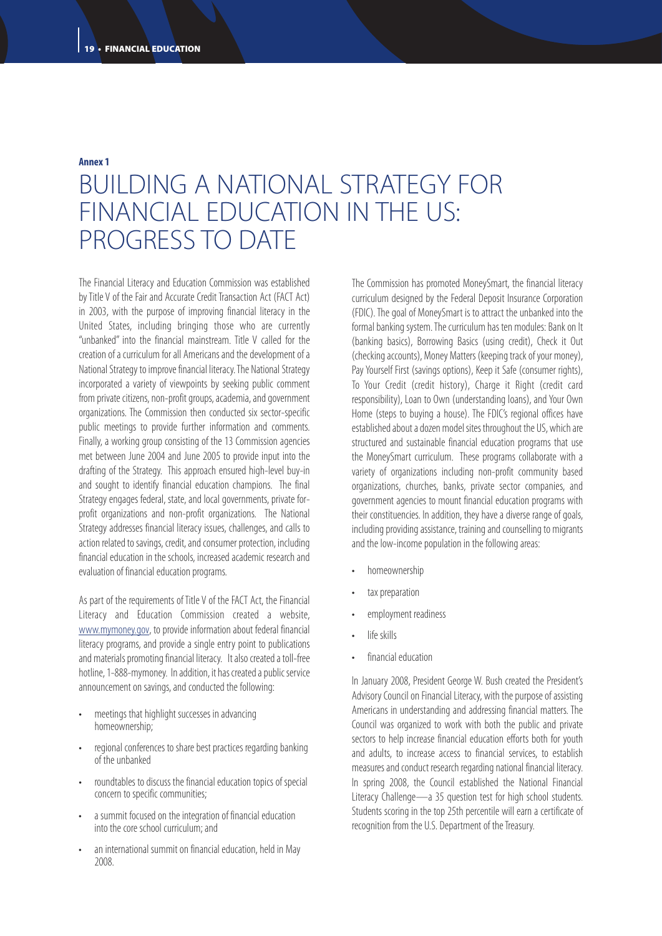#### **Annex 1**

## BUILDING A NATIONAL STRATEGY FOR FINANCIAL EDUCATION IN THE US: PROGRESS TO DATE

The Financial Literacy and Education Commission was established by Title V of the Fair and Accurate Credit Transaction Act (FACT Act) in 2003, with the purpose of improving financial literacy in the United States, including bringing those who are currently "unbanked" into the financial mainstream. Title V called for the creation of a curriculum for all Americans and the development of a National Strategy to improve financial literacy. The National Strategy incorporated a variety of viewpoints by seeking public comment from private citizens, non-profit groups, academia, and government organizations. The Commission then conducted six sector-specific public meetings to provide further information and comments. Finally, a working group consisting of the 13 Commission agencies met between June 2004 and June 2005 to provide input into the drafting of the Strategy. This approach ensured high-level buy-in and sought to identify financial education champions. The final Strategy engages federal, state, and local governments, private forprofit organizations and non-profit organizations. The National Strategy addresses financial literacy issues, challenges, and calls to action related to savings, credit, and consumer protection, including financial education in the schools, increased academic research and evaluation of financial education programs.

As part of the requirements of Title V of the FACT Act, the Financial Literacy and Education Commission created a website, www.mymoney.gov, to provide information about federal financial literacy programs, and provide a single entry point to publications and materials promoting financial literacy. It also created a toll-free hotline, 1-888-mymoney. In addition, it has created a public service announcement on savings, and conducted the following:

- meetings that highlight successes in advancing homeownership;
- regional conferences to share best practices regarding banking of the unbanked
- roundtables to discuss the financial education topics of special concern to specific communities;
- a summit focused on the integration of financial education into the core school curriculum; and
- an international summit on financial education, held in May 2008.

The Commission has promoted MoneySmart, the financial literacy curriculum designed by the Federal Deposit Insurance Corporation (FDIC). The goal of MoneySmart is to attract the unbanked into the formal banking system. The curriculum has ten modules: Bank on It (banking basics), Borrowing Basics (using credit), Check it Out (checking accounts), Money Matters (keeping track of your money), Pay Yourself First (savings options), Keep it Safe (consumer rights), To Your Credit (credit history), Charge it Right (credit card responsibility), Loan to Own (understanding loans), and Your Own Home (steps to buying a house). The FDIC's regional offices have established about a dozen model sites throughout the US, which are structured and sustainable financial education programs that use the MoneySmart curriculum. These programs collaborate with a variety of organizations including non-profit community based organizations, churches, banks, private sector companies, and government agencies to mount financial education programs with their constituencies. In addition, they have a diverse range of goals, including providing assistance, training and counselling to migrants and the low-income population in the following areas:

- homeownership
- tax preparation
- employment readiness
- life skills
- financial education

In January 2008, President George W. Bush created the President's Advisory Council on Financial Literacy, with the purpose of assisting Americans in understanding and addressing financial matters. The Council was organized to work with both the public and private sectors to help increase financial education efforts both for youth and adults, to increase access to financial services, to establish measures and conduct research regarding national financial literacy. In spring 2008, the Council established the National Financial Literacy Challenge—a 35 question test for high school students. Students scoring in the top 25th percentile will earn a certificate of recognition from the U.S. Department of the Treasury.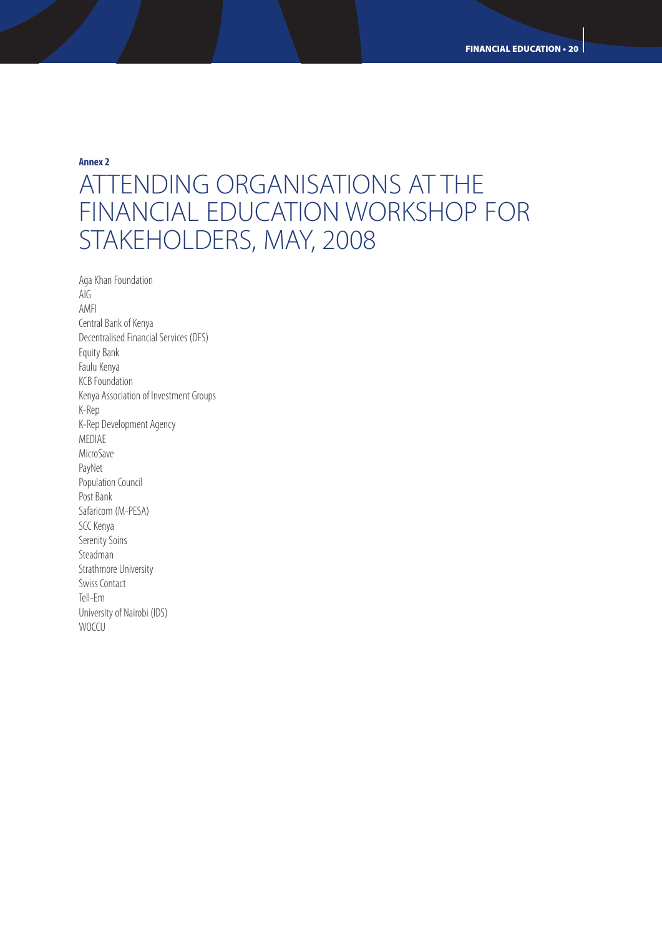**Annex 2**

## ATTENDING ORGANISATIONS AT THE FINANCIAL EDUCATION WORKSHOP FOR STAKEHOLDERS, MAY, 2008

Aga Khan Foundation AIG AMFI Central Bank of Kenya Decentralised Financial Services (DFS) Equity Bank Faulu Kenya KCB Foundation Kenya Association of Investment Groups K-Rep K-Rep Development Agency MEDIAE MicroSave PayNet Population Council Post Bank Safaricom (M-PESA) SCC Kenya Serenity Soins Steadman Strathmore University Swiss Contact Tell-Em University of Nairobi (IDS) **WOCCU**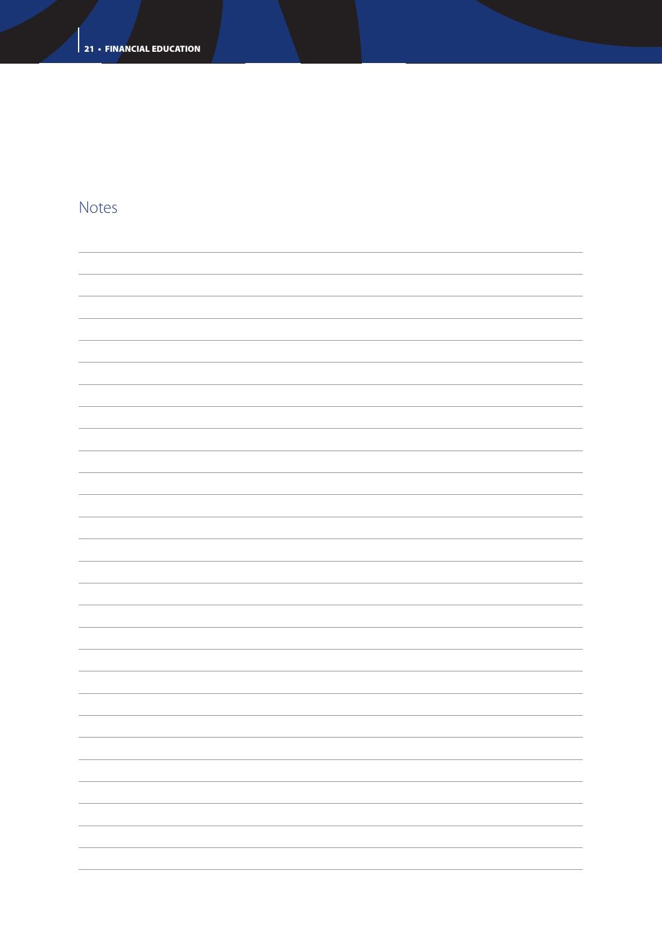### Notes

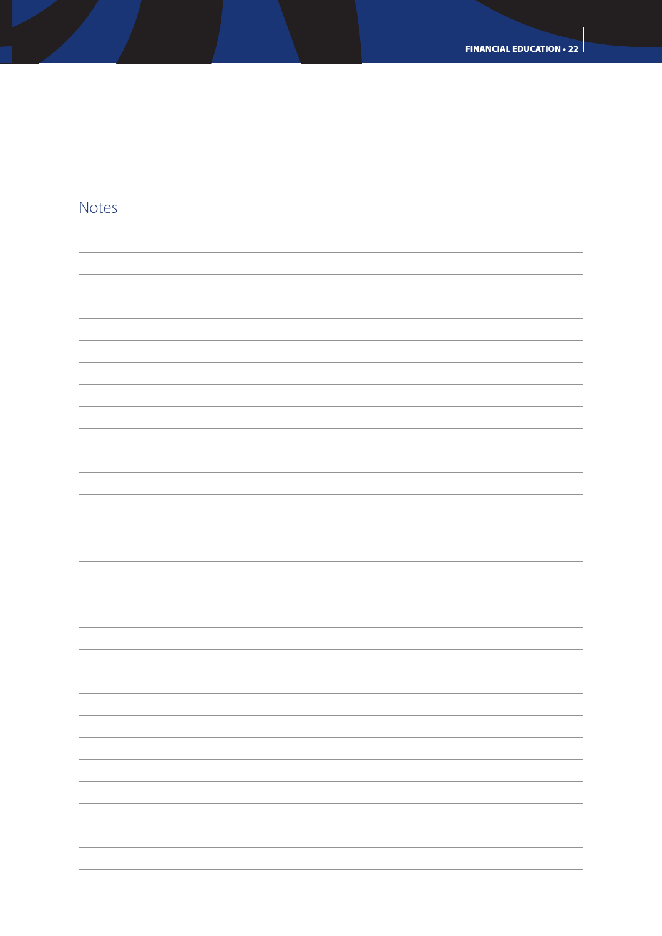

### Notes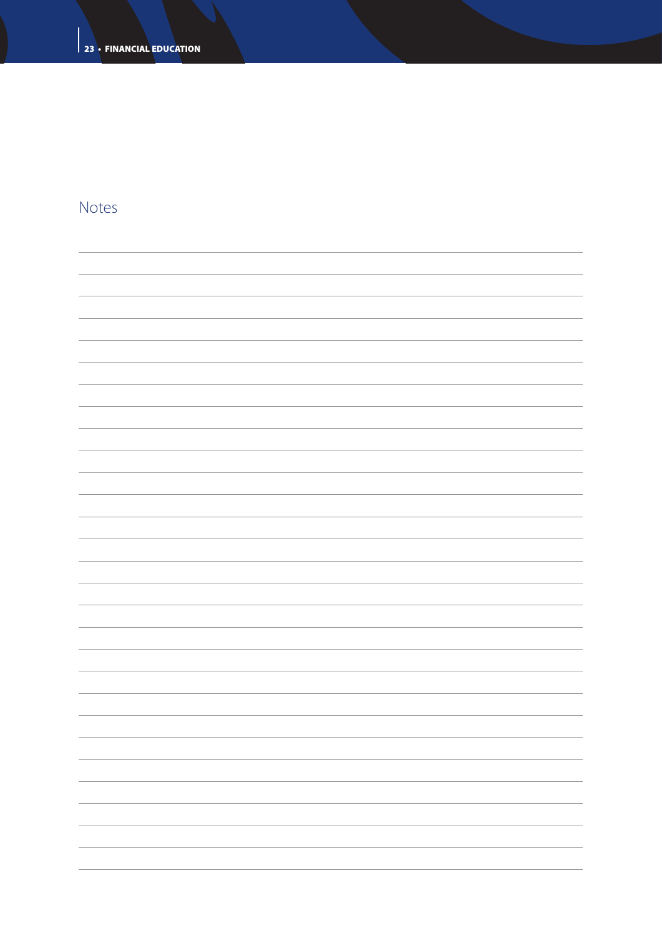### Notes